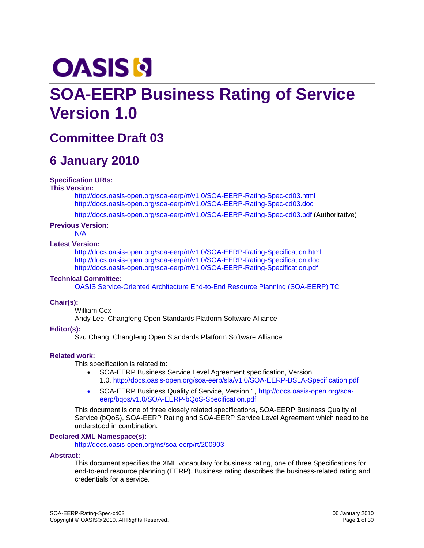# <span id="page-0-0"></span>**OASIS N**

## **SOA-EERP Business Rating of Service Version 1.0**

### **Committee Draft 03**

### **6 January 2010**

#### **Specification URIs:**

#### **This Version:**

<http://docs.oasis-open.org/soa-eerp/rt/v1.0/SOA-EERP-Rating-Spec-cd03.html> <http://docs.oasis-open.org/soa-eerp/rt/v1.0/SOA-EERP-Rating-Spec-cd03.doc>

<http://docs.oasis-open.org/soa-eerp/rt/v1.0/SOA-EERP-Rating-Spec-cd03.pdf> (Authoritative)

#### **Previous Version:**

N/A

#### **Latest Version:**

<http://docs.oasis-open.org/soa-eerp/rt/v1.0/SOA-EERP-Rating-Specification.html> <http://docs.oasis-open.org/soa-eerp/rt/v1.0/SOA-EERP-Rating-Specification.doc> <http://docs.oasis-open.org/soa-eerp/rt/v1.0/SOA-EERP-Rating-Specification.pdf>

#### **Technical Committee:**

[OASIS Service-Oriented Architecture End-to-End Resource Planning \(SOA-EERP\) TC](http://www.oasis-open.org/committees/tc_home.php?wg_abbrev=soa-eerp)

#### **Chair(s):**

William Cox Andy Lee, Changfeng Open Standards Platform Software Alliance

#### **Editor(s):**

Szu Chang, Changfeng Open Standards Platform Software Alliance

#### **Related work:**

This specification is related to:

- SOA-EERP Business Service Level Agreement specification, Version 1.0, [http://docs.oasis-open.org/soa-eerp/sla/v1.0/SOA-EERP-BSLA-Specification.pd](http://docs.oasis-open.org/soa-eerp/sla/v1.0/SOA-EERP-BSLA-Specification.pdf)f
- SOA-EERP Business Quality of Service, Version 1, [http://docs.oasis-open.org/soa](http://docs.oasis-open.org/soa-eerp/bqos/v1.0/SOA-EERP-bQoS-Specification.pdf)[eerp/bqos/v1.0/SOA-EERP-bQoS-Specification.pdf](http://docs.oasis-open.org/soa-eerp/bqos/v1.0/SOA-EERP-bQoS-Specification.pdf)

This document is one of three closely related specifications, SOA-EERP Business Quality of Service (bQoS), SOA-EERP Rating and SOA-EERP Service Level Agreement which need to be understood in combination.

#### **Declared XML Namespace(s):**

<http://docs.oasis-open.org/ns/soa-eerp/rt/200903>

#### **Abstract:**

This document specifies the XML vocabulary for business rating, one of three Specifications for end-to-end resource planning (EERP). Business rating describes the business-related rating and credentials for a service.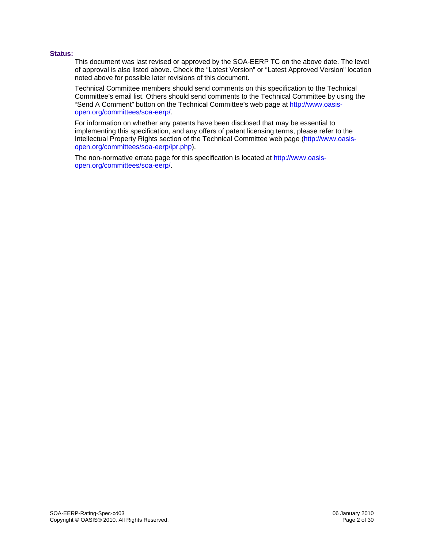#### **Status:**

This document was last revised or approved by the SOA-EERP TC on the above date. The level of approval is also listed above. Check the "Latest Version" or "Latest Approved Version" location noted above for possible later revisions of this document.

Technical Committee members should send comments on this specification to the Technical Committee's email list. Others should send comments to the Technical Committee by using the "Send A Comment" button on the Technical Committee's web page at [http://www.oasis](http://www.oasis-open.org/committees/soa-eerp/)[open.org/committees/soa-eerp/](http://www.oasis-open.org/committees/soa-eerp/).

For information on whether any patents have been disclosed that may be essential to implementing this specification, and any offers of patent licensing terms, please refer to the Intellectual Property Rights section of the Technical Committee web page ([http://www.oasis](http://www.oasis-open.org/committees/soa-eerp/ipr.php)[open.org/committees/soa-eerp/ipr.php\)](http://www.oasis-open.org/committees/soa-eerp/ipr.php).

The non-normative errata page for this specification is located at [http://www.oasis](http://www.oasis-open.org/committees/soa-eerp/)[open.org/committees/soa-eerp/](http://www.oasis-open.org/committees/soa-eerp/).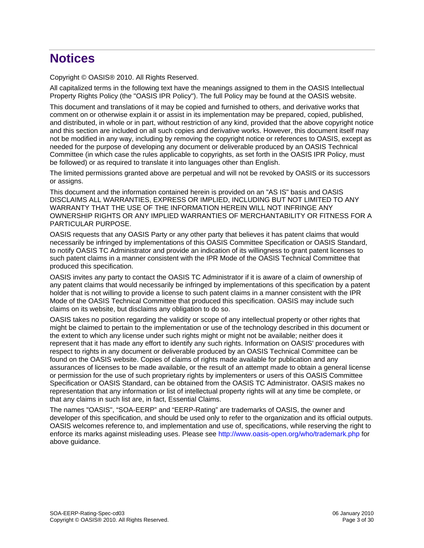### **Notices**

Copyright © OASIS® 2010. All Rights Reserved.

All capitalized terms in the following text have the meanings assigned to them in the OASIS Intellectual Property Rights Policy (the "OASIS IPR Policy"). The full Policy may be found at the OASIS website.

This document and translations of it may be copied and furnished to others, and derivative works that comment on or otherwise explain it or assist in its implementation may be prepared, copied, published, and distributed, in whole or in part, without restriction of any kind, provided that the above copyright notice and this section are included on all such copies and derivative works. However, this document itself may not be modified in any way, including by removing the copyright notice or references to OASIS, except as needed for the purpose of developing any document or deliverable produced by an OASIS Technical Committee (in which case the rules applicable to copyrights, as set forth in the OASIS IPR Policy, must be followed) or as required to translate it into languages other than English.

The limited permissions granted above are perpetual and will not be revoked by OASIS or its successors or assigns.

This document and the information contained herein is provided on an "AS IS" basis and OASIS DISCLAIMS ALL WARRANTIES, EXPRESS OR IMPLIED, INCLUDING BUT NOT LIMITED TO ANY WARRANTY THAT THE USE OF THE INFORMATION HEREIN WILL NOT INFRINGE ANY OWNERSHIP RIGHTS OR ANY IMPLIED WARRANTIES OF MERCHANTABILITY OR FITNESS FOR A PARTICULAR PURPOSE.

OASIS requests that any OASIS Party or any other party that believes it has patent claims that would necessarily be infringed by implementations of this OASIS Committee Specification or OASIS Standard, to notify OASIS TC Administrator and provide an indication of its willingness to grant patent licenses to such patent claims in a manner consistent with the IPR Mode of the OASIS Technical Committee that produced this specification.

OASIS invites any party to contact the OASIS TC Administrator if it is aware of a claim of ownership of any patent claims that would necessarily be infringed by implementations of this specification by a patent holder that is not willing to provide a license to such patent claims in a manner consistent with the IPR Mode of the OASIS Technical Committee that produced this specification. OASIS may include such claims on its website, but disclaims any obligation to do so.

OASIS takes no position regarding the validity or scope of any intellectual property or other rights that might be claimed to pertain to the implementation or use of the technology described in this document or the extent to which any license under such rights might or might not be available; neither does it represent that it has made any effort to identify any such rights. Information on OASIS' procedures with respect to rights in any document or deliverable produced by an OASIS Technical Committee can be found on the OASIS website. Copies of claims of rights made available for publication and any assurances of licenses to be made available, or the result of an attempt made to obtain a general license or permission for the use of such proprietary rights by implementers or users of this OASIS Committee Specification or OASIS Standard, can be obtained from the OASIS TC Administrator. OASIS makes no representation that any information or list of intellectual property rights will at any time be complete, or that any claims in such list are, in fact, Essential Claims.

The names "OASIS", "SOA-EERP" and "EERP-Rating" are trademarks of OASIS, the owner and developer of this specification, and should be used only to refer to the organization and its official outputs. OASIS welcomes reference to, and implementation and use of, specifications, while reserving the right to enforce its marks against misleading uses. Please see<http://www.oasis-open.org/who/trademark.php>for above guidance.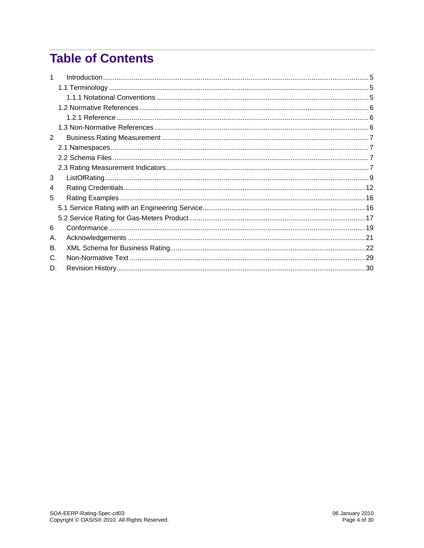## **Table of Contents**

| 2  |  |
|----|--|
|    |  |
|    |  |
|    |  |
| 3  |  |
| 4  |  |
| 5  |  |
|    |  |
|    |  |
| 6  |  |
| А. |  |
| В. |  |
| C. |  |
| D. |  |
|    |  |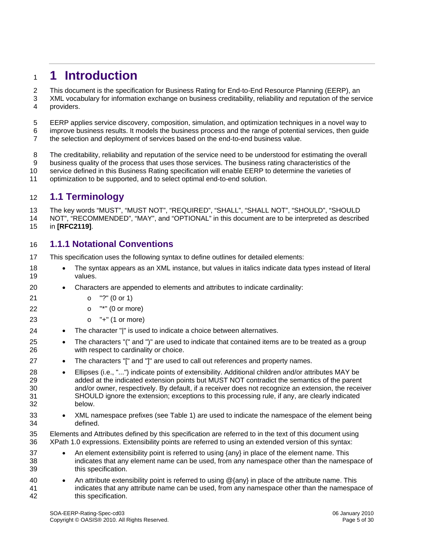### <span id="page-4-0"></span><sup>1</sup>**1 Introduction**

This document is the specification for Business Rating for End-to-End Resource Planning (EERP), an 2

- XML vocabulary for information exchange on business creditability, reliability and reputation of the service providers. 3 4
- 5 6 7 EERP applies service discovery, composition, simulation, and optimization techniques in a novel way to improve business results. It models the business process and the range of potential services, then guide the selection and deployment of services based on the end-to-end business value.
- 8 9 10 11 The creditability, reliability and reputation of the service need to be understood for estimating the overall business quality of the process that uses those services. The business rating characteristics of the service defined in this Business Rating specification will enable EERP to determine the varieties of optimization to be supported, and to select optimal end-to-end solution.

### 12 **1.1 Terminology**

13 14 15 The key words "MUST", "MUST NOT", "REQUIRED", "SHALL", "SHALL NOT", "SHOULD", "SHOULD NOT", "RECOMMENDED", "MAY", and "OPTIONAL" in this document are to be interpreted as described in **[\[RFC2119\]](#page-5-1)**.

#### 16 **1.1.1 Notational Conventions**

- 17 This specification uses the following syntax to define outlines for detailed elements:
- 18 19 • The syntax appears as an XML instance, but values in italics indicate data types instead of literal values.
- 20 • Characters are appended to elements and attributes to indicate cardinality:
- 21 o "?" (0 or 1)

27

- 22  $o$  "\*" (0 or more)
- 23  $o$  "+" (1 or more)
- 24 • The character "|" is used to indicate a choice between alternatives.
- 25 26 • The characters "(" and ")" are used to indicate that contained items are to be treated as a group with respect to cardinality or choice.
	- The characters "[" and "]" are used to call out references and property names.
- 28 29 30 31 32 • Ellipses (i.e., "...") indicate points of extensibility. Additional children and/or attributes MAY be added at the indicated extension points but MUST NOT contradict the semantics of the parent and/or owner, respectively. By default, if a receiver does not recognize an extension, the receiver SHOULD ignore the extension; exceptions to this processing rule, if any, are clearly indicated below.
- 33 34 • XML namespace prefixes (see Table 1) are used to indicate the namespace of the element being defined.
- 35 36 Elements and Attributes defined by this specification are referred to in the text of this document using XPath 1.0 expressions. Extensibility points are referred to using an extended version of this syntax:
- 37 38 39 • An element extensibility point is referred to using {any} in place of the element name. This indicates that any element name can be used, from any namespace other than the namespace of this specification.
- 40 41 42 An attribute extensibility point is referred to using  $@$ {any} in place of the attribute name. This indicates that any attribute name can be used, from any namespace other than the namespace of this specification.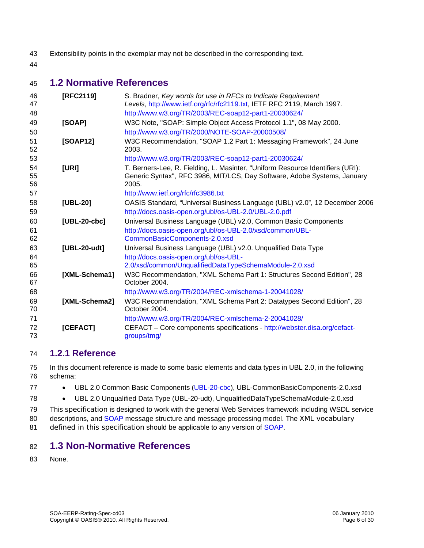- <span id="page-5-0"></span>43 Extensibility points in the exemplar may not be described in the corresponding text.
- 44

#### 45 **1.2 Normative References**

<span id="page-5-1"></span>

| 46<br>47       | [RFC2119]      | S. Bradner, Key words for use in RFCs to Indicate Requirement<br>Levels, http://www.ietf.org/rfc/rfc2119.txt, IETF RFC 2119, March 1997.                            |
|----------------|----------------|---------------------------------------------------------------------------------------------------------------------------------------------------------------------|
| 48             |                | http://www.w3.org/TR/2003/REC-soap12-part1-20030624/                                                                                                                |
| 49             | [SOAP]         | W3C Note, "SOAP: Simple Object Access Protocol 1.1", 08 May 2000.                                                                                                   |
| 50             |                | http://www.w3.org/TR/2000/NOTE-SOAP-20000508/                                                                                                                       |
| 51<br>52       | [SOAP12]       | W3C Recommendation, "SOAP 1.2 Part 1: Messaging Framework", 24 June<br>2003.                                                                                        |
| 53             |                | http://www.w3.org/TR/2003/REC-soap12-part1-20030624/                                                                                                                |
| 54<br>55<br>56 | [URI]          | T. Berners-Lee, R. Fielding, L. Masinter, "Uniform Resource Identifiers (URI):<br>Generic Syntax", RFC 3986, MIT/LCS, Day Software, Adobe Systems, January<br>2005. |
| 57             |                | http://www.ietf.org/rfc/rfc3986.txt                                                                                                                                 |
| 58             | [UBL-20]       | OASIS Standard, "Universal Business Language (UBL) v2.0", 12 December 2006                                                                                          |
| 59             |                | http://docs.oasis-open.org/ubl/os-UBL-2.0/UBL-2.0.pdf                                                                                                               |
| 60             | $[UBL-20-cbc]$ | Universal Business Language (UBL) v2.0, Common Basic Components                                                                                                     |
| 61             |                | http://docs.oasis-open.org/ubl/os-UBL-2.0/xsd/common/UBL-                                                                                                           |
| 62             |                | CommonBasicComponents-2.0.xsd                                                                                                                                       |
| 63             | [UBL-20-udt]   | Universal Business Language (UBL) v2.0. Unqualified Data Type                                                                                                       |
| 64             |                | http://docs.oasis-open.org/ubl/os-UBL-                                                                                                                              |
| 65             |                | 2.0/xsd/common/UnqualifiedDataTypeSchemaModule-2.0.xsd                                                                                                              |
| 66<br>67       | [XML-Schema1]  | W3C Recommendation, "XML Schema Part 1: Structures Second Edition", 28<br>October 2004.                                                                             |
| 68             |                | http://www.w3.org/TR/2004/REC-xmlschema-1-20041028/                                                                                                                 |
| 69<br>70       | [XML-Schema2]  | W3C Recommendation, "XML Schema Part 2: Datatypes Second Edition", 28<br>October 2004.                                                                              |
| 71             |                | http://www.w3.org/TR/2004/REC-xmlschema-2-20041028/                                                                                                                 |
| 72<br>73       | [CEFACT]       | CEFACT - Core components specifications - http://webster.disa.org/cefact-<br>groups/tmg/                                                                            |

#### 74 **1.2.1 Reference**

75 76 In this document reference is made to some basic elements and data types in UBL 2.0, in the following schema:

- 77 UBL 2.0 Common Basic Components [\(UBL-20-cbc](#page-5-0)), UBL-CommonBasicComponents-2.0.xsd
- 78 UBL 2.0 Unqualified Data Type (UBL-20-udt), UnqualifiedDataTypeSchemaModule-2.0.xsd

79 This specification is designed to work with the general Web Services framework including WSDL service

80 descriptions, and [SOAP](#page-0-0) message structure and message processing model. The XML vocabulary

81 defined in this specification should be applicable to any version of [SOAP](#page-0-0).

### 82 **1.3 Non-Normative References**

83 None.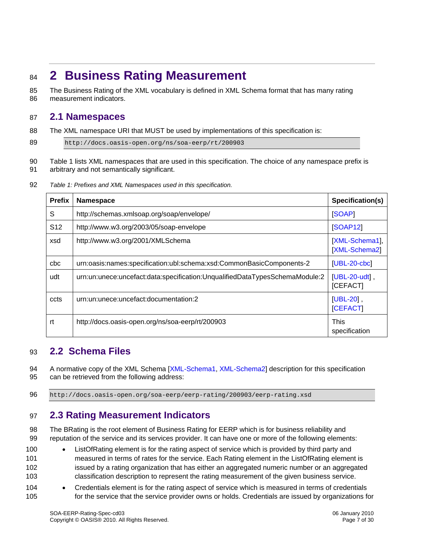### <span id="page-6-0"></span><sup>84</sup>**2 Business Rating Measurement**

The Business Rating of the XML vocabulary is defined in XML Schema format that has many rating measurement indicators. 85 86

### 87 **2.1 Namespaces**

88 The XML namespace URI that MUST be used by implementations of this specification is:

89 http://docs.oasis-open.org/ns/soa-eerp/rt/200903

90 91 Table 1 lists XML namespaces that are used in this specification. The choice of any namespace prefix is arbitrary and not semantically significant.

|  | 92 | Table 1: Prefixes and XML Namespaces used in this specification. |  |
|--|----|------------------------------------------------------------------|--|
|--|----|------------------------------------------------------------------|--|

| <b>Prefix</b>   | Namespace                                                                   | Specification(s)                |
|-----------------|-----------------------------------------------------------------------------|---------------------------------|
| S               | http://schemas.xmlsoap.org/soap/envelope/                                   | [SOAP]                          |
| S <sub>12</sub> | http://www.w3.org/2003/05/soap-envelope                                     | <b>[SOAP12]</b>                 |
| xsd             | http://www.w3.org/2001/XMLSchema                                            | [XML-Schema1],<br>[XML-Schema2] |
| cbc             | urn:oasis:names:specification:ubl:schema:xsd:CommonBasicComponents-2        | $[UBL-20-cbc]$                  |
| udt             | urn:un:unece:uncefact:data:specification:UnqualifiedDataTypesSchemaModule:2 | $[UBL-20-udt]$ ,<br>[CEFACT]    |
| ccts            | urn:un:unece:uncefact:documentation:2                                       | $[UBL-20]$ ,<br><b>[CEFACT]</b> |
| rt              | http://docs.oasis-open.org/ns/soa-eerp/rt/200903                            | <b>This</b><br>specification    |

#### 93 **2.2 Schema Files**

A normative copy of the XML Schema [\[XML-Schema1, XML-Schema2](#page-5-0)] description for this specification can be retrieved from the following address: 94 95

96 http://docs.oasis-open.org/soa-eerp/eerp-rating/200903/eerp-rating.xsd

#### 97 **2.3 Rating Measurement Indicators**

98 99 The BRating is the root element of Business Rating for EERP which is for business reliability and reputation of the service and its services provider. It can have one or more of the following elements:

100 101 102 103 • ListOfRating element is for the rating aspect of service which is provided by third party and measured in terms of rates for the service. Each Rating element in the ListOfRating element is issued by a rating organization that has either an aggregated numeric number or an aggregated classification description to represent the rating measurement of the given business service.

104 105 • Credentials element is for the rating aspect of service which is measured in terms of credentials for the service that the service provider owns or holds. Credentials are issued by organizations for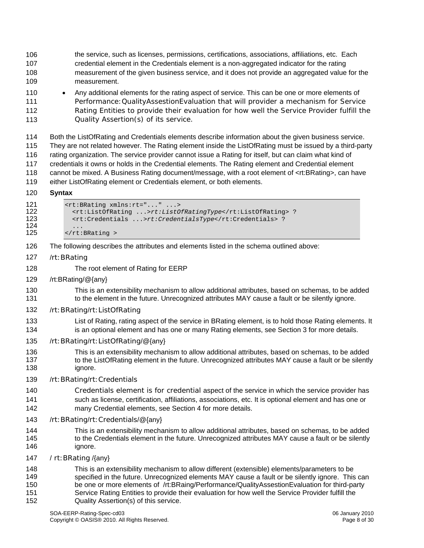- 106 107 108 109 the service, such as licenses, permissions, certifications, associations, affiliations, etc. Each credential element in the Credentials element is a non-aggregated indicator for the rating measurement of the given business service, and it does not provide an aggregated value for the measurement.
- 110 111 112 113 • Any additional elements for the rating aspect of service. This can be one or more elements of Performance:QualityAssestionEvaluation that will provider a mechanism for Service Rating Entities to provide their evaluation for how well the Service Provider fulfill the Quality Assertion(s) of its service.

114 115 116 117 118 119 Both the ListOfRating and Credentials elements describe information about the given business service. They are not related however. The Rating element inside the ListOfRating must be issued by a third-party rating organization. The service provider cannot issue a Rating for itself, but can claim what kind of credentials it owns or holds in the Credential elements. The Rating element and Credential element cannot be mixed. A Business Rating document/message, with a root element of <rt:BRating>, can have either ListOfRating element or Credentials element, or both elements.

#### 120 **Syntax**

| 121 | <rt: brating="" rt="" xmlns:=""></rt:>      |            |
|-----|---------------------------------------------|------------|
| 122 | <rt:listofrating>rt:ListO</rt:listofrating> |            |
| 123 | $\left\{ r^{+} \right\}$                    | srt Crodon |

- 122 <rt:ListOfRating ...>*rt:ListOfRatingType*</rt:ListOfRating> ? 123 <rt:Credentials ...>*rt:CredentialsType*</rt:Credentials> ?  $124$  ...<br>125 </rt:  $\langle$ rt:BRating >
	-
- 126 The following describes the attributes and elements listed in the schema outlined above:
- 127 /rt:BRating

128

- The root element of Rating for EERP
- 129 /rt:BRating/@{any}
- 130 131 This is an extensibility mechanism to allow additional attributes, based on schemas, to be added to the element in the future. Unrecognized attributes MAY cause a fault or be silently ignore.
- 132 /rt:BRating/rt:ListOfRating
- 133 134 List of Rating, rating aspect of the service in BRating element, is to hold those Rating elements. It is an optional element and has one or many Rating elements, see Section 3 for more details.
- 135 /rt:BRating/rt:ListOfRating/@{any}
- 136 137 138 This is an extensibility mechanism to allow additional attributes, based on schemas, to be added to the ListOfRating element in the future. Unrecognized attributes MAY cause a fault or be silently ignore.
- 139 /rt:BRating/rt:Credentials
- 140 141 142 Credentials element is for credential aspect of the service in which the service provider has such as license, certification, affiliations, associations, etc. It is optional element and has one or many Credential elements, see Section 4 for more details.
- 143 /rt:BRating/rt:Credentials/@{any}
- 144 145 146 This is an extensibility mechanism to allow additional attributes, based on schemas, to be added to the Credentials element in the future. Unrecognized attributes MAY cause a fault or be silently ignore.
- 147 / rt:BRating /{any}
- 148 149 150 151 152 This is an extensibility mechanism to allow different (extensible) elements/parameters to be specified in the future. Unrecognized elements MAY cause a fault or be silently ignore. This can be one or more elements of /rt:BRaing/Performance/QualityAssestionEvaluation for third-party Service Rating Entities to provide their evaluation for how well the Service Provider fulfill the Quality Assertion(s) of this service.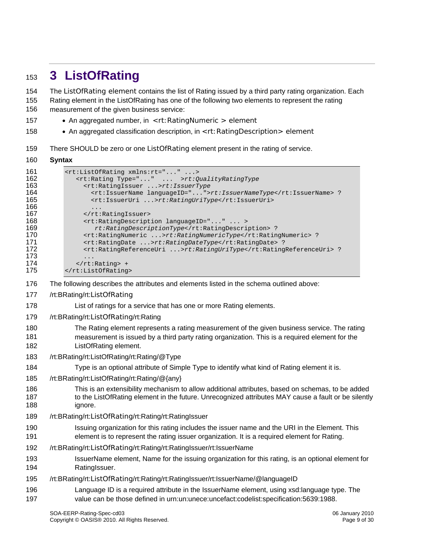### <span id="page-8-0"></span><sup>153</sup>**3 ListOfRating**

The ListOfRating element contains the list of Rating issued by a third party rating organization. Each Rating element in the ListOfRating has one of the following two elements to represent the rating measurement of the given business service: 154 155 156

- 157 • An aggregated number, in <rt: RatingNumeric > element
- 158 • An aggregated classification description, in <rt: RatingDescription > element
- 159 There SHOULD be zero or one ListOfRating element present in the rating of service.

#### 160 **Syntax**

```
161 < xt:ListOfRating xmlns: rt="..." ...><br>162 < xt:Rating Type="..." ... >rt:0
162 <rt:Rating Type="..." ... >rt:QualityRatingType
163 <rt:RatingIssuer ...>rt:IssuerType<br>164 <rt:IssuerName languageID="...">
164 <rt:IssuerName languageID="...">rt:IssuerNameType</rt:IssuerName> ? 
                    165 <rt:IssuerUri ...>rt:RatingUriType</rt:IssuerUri> 
166 ...<br>167 ... ...
167 </rt:RatingIssuer><br>168 <tt:RatingDescript>
168 <rt:RatingDescription languageID="..." ... ><br>169 rt:RatingDescription169 rt:RatingDescriptionType</rt:RatingDescription> ?<br>170 <rt:RatingNumeric ...>rt:RatingNumericType</rt:Ratin
                  170 <rt:RatingNumeric ...>rt:RatingNumericType</rt:RatingNumeric> ? 
171 <rt:RatingDate ...>rt:RatingDateType</rt:RatingDate> ? 
172 <tt:RatingReferenceUri ...>rt:RatingUriType</rt:RatingReferenceUri> ?
173<br>174
174 </rt:Rating> +<br>175 </rt:ListOfRating
            175 </rt:ListOfRating>
```
176 The following describes the attributes and elements listed in the schema outlined above:

- 177 /rt:BRating/rt:ListOfRating
- 178 List of ratings for a service that has one or more Rating elements.
- 179 /rt:BRating/rt:ListOfRating/rt:Rating
- 180 181 182 The Rating element represents a rating measurement of the given business service. The rating measurement is issued by a third party rating organization. This is a required element for the ListOfRating element.
- 183 /rt:BRating/rt:ListOfRating/rt:Rating/@Type
- 184 Type is an optional attribute of Simple Type to identify what kind of Rating element it is.
- 185 /rt:BRating/rt:ListOfRating/rt:Rating/@{any}
- 186 187 188 This is an extensibility mechanism to allow additional attributes, based on schemas, to be added to the ListOfRating element in the future. Unrecognized attributes MAY cause a fault or be silently ignore.
- 189 /rt:BRating/rt:ListOfRating/rt:Rating/rt:RatingIssuer
- 190 191 Issuing organization for this rating includes the issuer name and the URI in the Element. This element is to represent the rating issuer organization. It is a required element for Rating.
- 192 /rt:BRating/rt:ListOfRating/rt:Rating/rt:RatingIssuer/rt:IssuerName
- 193 194 IssuerName element, Name for the issuing organization for this rating, is an optional element for RatingIssuer.
- 195 /rt:BRating/rt:ListOfRating/rt:Rating/rt:RatingIssuer/rt:IssuerName/@languageID
- 196 197 Language ID is a required attribute in the IssuerName element, using xsd:language type. The value can be those defined in urn:un:unece:uncefact:codelist:specification:5639:1988.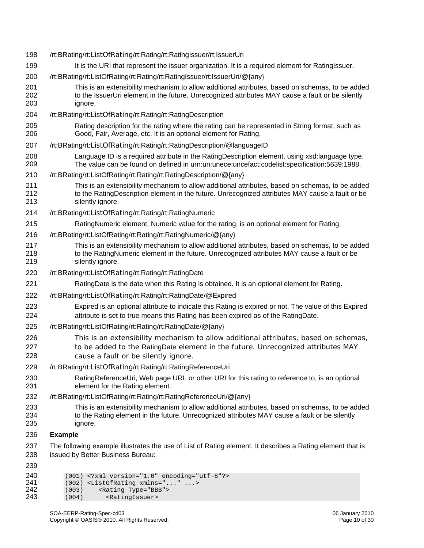| 198                      | /rt:BRating/rt:ListOfRating/rt:Rating/rt:RatingIssuer/rt:IssuerUri                                                                                                                                                      |
|--------------------------|-------------------------------------------------------------------------------------------------------------------------------------------------------------------------------------------------------------------------|
| 199                      | It is the URI that represent the issuer organization. It is a required element for RatingIssuer.                                                                                                                        |
| 200                      | /rt:BRating/rt:ListOfRating/rt:Rating/rt:RatingIssuer/rt:IssuerUri/@{any}                                                                                                                                               |
| 201<br>202<br>203        | This is an extensibility mechanism to allow additional attributes, based on schemas, to be added<br>to the IssuerUri element in the future. Unrecognized attributes MAY cause a fault or be silently<br>ignore.         |
| 204                      | /rt:BRating/rt:ListOfRating/rt:Rating/rt:RatingDescription                                                                                                                                                              |
| 205<br>206               | Rating description for the rating where the rating can be represented in String format, such as<br>Good, Fair, Average, etc. It is an optional element for Rating.                                                      |
| 207                      | /rt:BRating/rt:ListOfRating/rt:Rating/rt:RatingDescription/@languageID                                                                                                                                                  |
| 208<br>209               | Language ID is a required attribute in the RatingDescription element, using xsd:language type.<br>The value can be found on defined in urn:un:unece:uncefact:codelist:specification:5639:1988.                          |
| 210                      | /rt:BRating/rt:ListOfRating/rt:Rating/rt:RatingDescription/@{any}                                                                                                                                                       |
| 211<br>212<br>213        | This is an extensibility mechanism to allow additional attributes, based on schemas, to be added<br>to the RatingDescription element in the future. Unrecognized attributes MAY cause a fault or be<br>silently ignore. |
| 214                      | /rt:BRating/rt:ListOfRating/rt:Rating/rt:RatingNumeric                                                                                                                                                                  |
| 215                      | RatingNumeric element, Numeric value for the rating, is an optional element for Rating.                                                                                                                                 |
| 216                      | /rt:BRating/rt:ListOfRating/rt:Rating/rt:RatingNumeric/@{any}                                                                                                                                                           |
| 217<br>218<br>219        | This is an extensibility mechanism to allow additional attributes, based on schemas, to be added<br>to the RatingNumeric element in the future. Unrecognized attributes MAY cause a fault or be<br>silently ignore.     |
| 220                      | /rt:BRating/rt:ListOfRating/rt:Rating/rt:RatingDate                                                                                                                                                                     |
| 221                      | RatingDate is the date when this Rating is obtained. It is an optional element for Rating.                                                                                                                              |
| 222                      | /rt:BRating/rt:ListOfRating/rt:Rating/rt:RatingDate/@Expired                                                                                                                                                            |
| 223<br>224               | Expired is an optional attribute to indicate this Rating is expired or not. The value of this Expired<br>attribute is set to true means this Rating has been expired as of the RatingDate.                              |
| 225                      | /rt:BRating/rt:ListOfRating/rt:Rating/rt:RatingDate/@{any}                                                                                                                                                              |
| 226<br>227<br>228        | This is an extensibility mechanism to allow additional attributes, based on schemas,<br>to be added to the RatingDate element in the future. Unrecognized attributes MAY<br>cause a fault or be silently ignore.        |
| 229                      | /rt:BRating/rt:ListOfRating/rt:Rating/rt:RatingReferenceUri                                                                                                                                                             |
| 230<br>231               | RatingReferenceUri, Web page URL or other URI for this rating to reference to, is an optional<br>element for the Rating element.                                                                                        |
| 232                      | /rt:BRating/rt:ListOfRating/rt:Rating/rt:RatingReferenceUri/@{any}                                                                                                                                                      |
| 233<br>234<br>235        | This is an extensibility mechanism to allow additional attributes, based on schemas, to be added<br>to the Rating element in the future. Unrecognized attributes MAY cause a fault or be silently<br>ignore.            |
| 236                      | <b>Example</b>                                                                                                                                                                                                          |
| 237<br>238               | The following example illustrates the use of List of Rating element. It describes a Rating element that is<br>issued by Better Business Bureau:                                                                         |
| 239                      |                                                                                                                                                                                                                         |
| 240<br>241<br>242<br>243 | (001) xml version="1.0" encoding="utf-8"?<br>(002) <listofrating xmlns=""><br/>(003)<br/><rating type="BBB"><br/>(004)<br/><ratingissuer></ratingissuer></rating></listofrating>                                        |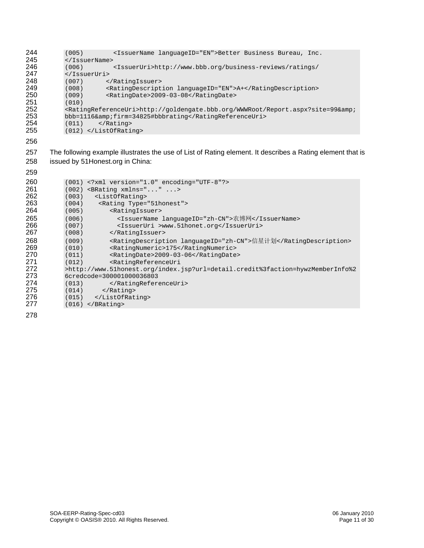| 244 | (005)<br><issuername languageid="EN">Better Business Bureau, Inc.</issuername>                      |
|-----|-----------------------------------------------------------------------------------------------------|
| 245 | $\langle$ /IssuerName>                                                                              |
| 246 | <issueruri>http://www.bbb.org/business-reviews/ratings/<br/>(006)</issueruri>                       |
| 247 |                                                                                                     |
| 248 | <br>(007)                                                                                           |
| 249 | <ratingdescription languageid="EN">A+</ratingdescription><br>(008)                                  |
| 250 | <ratingdate>2009-03-08</ratingdate><br>(009)                                                        |
| 251 | (010)                                                                                               |
| 252 | <ratingreferenceuri>http://goldengate.bbb.org/WWWRoot/Report.aspx?site=99&amp;</ratingreferenceuri> |
| 253 | $bbb=1116$ &firm=34825#bbbrating                                                                    |
| 254 | $\langle$ Rating><br>(011)                                                                          |
| 255 | $(012)$                                                                                             |
| 256 |                                                                                                     |

 The following example illustrates the use of List of Rating element. It describes a Rating element that is issued by 51Honest.org in China:

| 259 |                                                                                |
|-----|--------------------------------------------------------------------------------|
| 260 | $(001)$ xml version="1.0" encoding="UTF-8"?                                    |
| 261 | $(002)$ <brating xmlns=""></brating>                                           |
| 262 | <listofrating><br/>(003)</listofrating>                                        |
| 263 | <rating type="51honest"><br/>(004)</rating>                                    |
| 264 | <ratingissuer><br/>(005)</ratingissuer>                                        |
| 265 | <issuername languageid="zh-CN">农博网</issuername><br>(006)                       |
| 266 | <issueruri>www.51honet.org</issueruri><br>(007)                                |
| 267 | (008)<br>                                                                      |
| 268 | <ratingdescription languageid="zh-CN">信星计划</ratingdescription><br>(009)        |
| 269 | (010)<br><ratingnumeric>175</ratingnumeric>                                    |
| 270 | (011)<br><ratingdate>2009-03-06</ratingdate>                                   |
| 271 | (012)<br><ratingreferenceuri< th=""></ratingreferenceuri<>                     |
| 272 | >http://www.51honest.org/index.jsp?url=detail.credit%3faction=hywzMemberInfo%2 |
| 273 | 6credcode=300001000036803                                                      |
| 274 | <br>(013)                                                                      |
| 275 | $\langle Rating\rangle$<br>(014)                                               |
| 276 | $(015)$                                                                        |
| 277 | $(016)$                                                                        |
| 278 |                                                                                |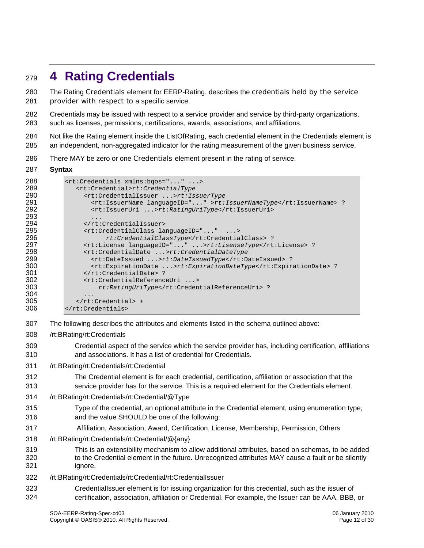### <span id="page-11-0"></span><sup>279</sup>**4 Rating Credentials**

The Rating Credentials element for EERP-Rating, describes the credentials held by the service provider with respect to a specific service. 280 281

282 283 Credentials may be issued with respect to a service provider and service by third-party organizations, such as licenses, permissions, certifications, awards, associations, and affiliations.

- 284 285 Not like the Rating element inside the ListOfRating, each credential element in the Credentials element is an independent, non-aggregated indicator for the rating measurement of the given business service.
- 286 There MAY be zero or one Credentials element present in the rating of service.

#### 287 **Syntax**

| 288 | <rt:credentials xmlns:bgos=""></rt:credentials>                  |
|-----|------------------------------------------------------------------|
| 289 | <rt:credential>rt:CredentialType</rt:credential>                 |
| 290 | <rt:credentialissuer>rt:IssuerType</rt:credentialissuer>         |
| 291 | <rt:issuername languageid="">rt:IssuerNameType</rt:issuername> ? |
| 292 | <rt:issueruri>rt:RatingUriType</rt:issueruri>                    |
| 293 | $\ddotsc$                                                        |
| 294 |                                                                  |
| 295 | <rt:credentialclass languageid=""></rt:credentialclass>          |
| 296 | rt:CredentialClassType ?                                         |
| 297 | <rt:license languageid="">rt:LisenseType</rt:license> ?          |
| 298 | <rt:credentialdate>rt:CredentialDateType</rt:credentialdate>     |
| 299 | <rt:dateissued>rt:DateIssuedType</rt:dateissued> ?               |
| 300 | <rt:expirationdate>rt:ExpirationDateType</rt:expirationdate> ?   |
| 301 | ?                                                                |
| 302 | <rt:credentialreferenceuri></rt:credentialreferenceuri>          |
| 303 | rt: RatingUriType ?                                              |
| 304 | $\ddot{\phantom{0}}$                                             |
| 305 | $\langle$ rt:Credential> +                                       |
| 306 |                                                                  |
|     |                                                                  |

- 307 The following describes the attributes and elements listed in the schema outlined above:
- 308 /rt:BRating/rt:Credentials
- 309 310 Credential aspect of the service which the service provider has, including certification, affiliations and associations. It has a list of credential for Credentials.
- 311 /rt:BRating/rt:Credentials/rt:Credential
- 312 313 The Credential element is for each credential, certification, affiliation or association that the service provider has for the service. This is a required element for the Credentials element.
- 314 /rt:BRating/rt:Credentials/rt:Credential/@Type
- 315 316 Type of the credential, an optional attribute in the Credential element, using enumeration type, and the value SHOULD be one of the following:
- 317 Affiliation, Association, Award, Certification, License, Membership, Permission, Others
- 318 /rt:BRating/rt:Credentials/rt:Credential/@{any}
- 319 320 321 This is an extensibility mechanism to allow additional attributes, based on schemas, to be added to the Credential element in the future. Unrecognized attributes MAY cause a fault or be silently ignore.
- 322 /rt:BRating/rt:Credentials/rt:Credential/rt:CredentialIssuer
- 323 324 CredentialIssuer element is for issuing organization for this credential, such as the issuer of certification, association, affiliation or Credential. For example, the Issuer can be AAA, BBB, or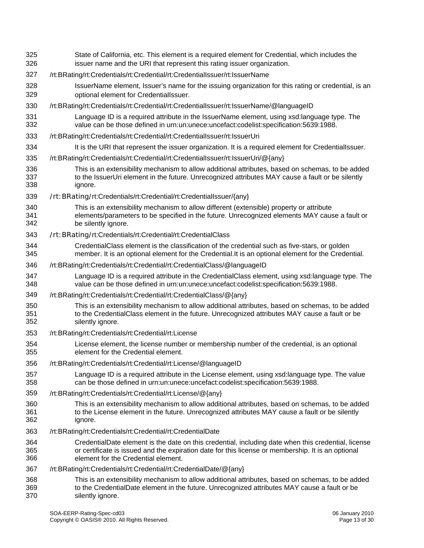| 325<br>326        | State of California, etc. This element is a required element for Credential, which includes the<br>issuer name and the URI that represent this rating issuer organization.                                                                       |
|-------------------|--------------------------------------------------------------------------------------------------------------------------------------------------------------------------------------------------------------------------------------------------|
| 327               | /rt:BRating/rt:Credentials/rt:Credential/rt:CredentialIssuer/rt:IssuerName                                                                                                                                                                       |
| 328<br>329        | IssuerName element, Issuer's name for the issuing organization for this rating or credential, is an<br>optional element for CredentialIssuer.                                                                                                    |
| 330               | /rt:BRating/rt:Credentials/rt:Credential/rt:Credentiallssuer/rt:IssuerName/@languageID                                                                                                                                                           |
| 331<br>332        | Language ID is a required attribute in the IssuerName element, using xsd:language type. The<br>value can be those defined in urn:un:unece:uncefact:codelist:specification:5639:1988.                                                             |
| 333               | /rt:BRating/rt:Credentials/rt:Credential/rt:CredentialIssuer/rt:IssuerUri                                                                                                                                                                        |
| 334               | It is the URI that represent the issuer organization. It is a required element for CredentialIssuer.                                                                                                                                             |
| 335               | /rt:BRating/rt:Credentials/rt:Credential/rt:CredentialIssuer/rt:IssuerUri/@{any}                                                                                                                                                                 |
| 336<br>337<br>338 | This is an extensibility mechanism to allow additional attributes, based on schemas, to be added<br>to the IssuerUri element in the future. Unrecognized attributes MAY cause a fault or be silently<br>ignore.                                  |
| 339               | /rt: BRating/rt:Credentials/rt:Credential/rt:CredentialIssuer/{any}                                                                                                                                                                              |
| 340<br>341<br>342 | This is an extensibility mechanism to allow different (extensible) property or attribute<br>elements/parameters to be specified in the future. Unrecognized elements MAY cause a fault or<br>be silently ignore.                                 |
| 343               | /rt: BRating/rt:Credentials/rt:Credential/rt:CredentialClass                                                                                                                                                                                     |
| 344<br>345        | CredentialClass element is the classification of the credential such as five-stars, or golden<br>member. It is an optional element for the Credential.It is an optional element for the Credential.                                              |
| 346               | /rt:BRating/rt:Credentials/rt:Credential/rt:CredentialClass/@languageID                                                                                                                                                                          |
| 347<br>348        | Language ID is a required attribute in the CredentialClass element, using xsd:language type. The<br>value can be those defined in urn:un:unece:uncefact:codelist:specification:5639:1988.                                                        |
| 349               | /rt:BRating/rt:Credentials/rt:Credential/rt:CredentialClass/@{any}                                                                                                                                                                               |
| 350<br>351<br>352 | This is an extensibility mechanism to allow additional attributes, based on schemas, to be added<br>to the CredentialClass element in the future. Unrecognized attributes MAY cause a fault or be<br>silently ignore.                            |
| 353               | /rt:BRating/rt:Credentials/rt:Credential/rt:License                                                                                                                                                                                              |
| 354<br>355        | License element, the license number or membership number of the credential, is an optional<br>element for the Credential element.                                                                                                                |
| 356               | /rt:BRating/rt:Credentials/rt:Credential/rt:License/@languageID                                                                                                                                                                                  |
| 357<br>358        | Language ID is a required attribute in the License element, using xsd:language type. The value<br>can be those defined in urn:un:unece:uncefact:codelist:specification:5639:1988.                                                                |
| 359               | /rt:BRating/rt:Credentials/rt:Credential/rt:License/@{any}                                                                                                                                                                                       |
| 360<br>361<br>362 | This is an extensibility mechanism to allow additional attributes, based on schemas, to be added<br>to the License element in the future. Unrecognized attributes MAY cause a fault or be silently<br>ignore.                                    |
| 363               | /rt:BRating/rt:Credentials/rt:Credential/rt:CredentialDate                                                                                                                                                                                       |
| 364<br>365<br>366 | CredentialDate element is the date on this credential, including date when this credential, license<br>or certificate is issued and the expiration date for this license or membership. It is an optional<br>element for the Credential element. |
| 367               | /rt:BRating/rt:Credentials/rt:Credential/rt:CredentialDate/@{any}                                                                                                                                                                                |
| 368<br>369<br>370 | This is an extensibility mechanism to allow additional attributes, based on schemas, to be added<br>to the CredentialDate element in the future. Unrecognized attributes MAY cause a fault or be<br>silently ignore.                             |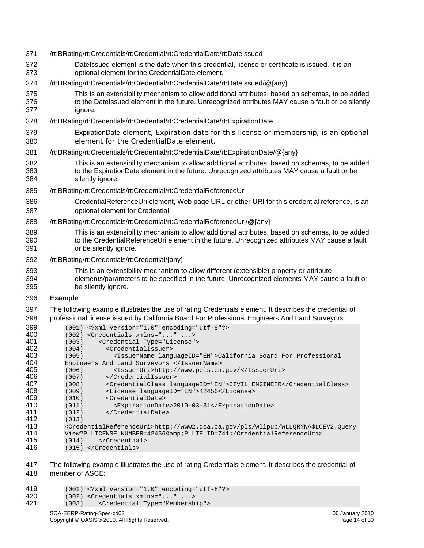371 372 373 374 375 376 377 378 379 380 381 382 383 384 385 386 387 388 389 390 391 392 393 394 395 396 397 398 /rt:BRating/rt:Credentials/rt:Credential/rt:CredentialDate/rt:DateIssued DateIssued element is the date when this credential, license or certificate is issued. It is an optional element for the CredentialDate element. /rt:BRating/rt:Credentials/rt:Credential/rt:CredentialDate/rt:DateIssued/@{any} This is an extensibility mechanism to allow additional attributes, based on schemas, to be added to the DateIssued element in the future. Unrecognized attributes MAY cause a fault or be silently ignore. /rt:BRating/rt:Credentials/rt:Credential/rt:CredentialDate/rt:ExpirationDate ExpirationDate element, Expiration date for this license or membership, is an optional element for the CredentialDate element. /rt:BRating/rt:Credentials/rt:Credential/rt:CredentialDate/rt:ExpirationDate/@{any} This is an extensibility mechanism to allow additional attributes, based on schemas, to be added to the ExpirationDate element in the future. Unrecognized attributes MAY cause a fault or be silently ignore. /rt:BRating/rt:Credentials/rt:Credential/rt:CredentialReferenceUri CredentialReferenceUri element, Web page URL or other URI for this credential reference, is an optional element for Credential. /rt:BRating/rt:Credentials/rt:Credential/rt:CredentialReferenceUri/@{any} This is an extensibility mechanism to allow additional attributes, based on schemas, to be added to the CredentialReferenceUri element in the future. Unrecognized attributes MAY cause a fault or be silently ignore. /rt:BRating/rt:Credentials/rt:Credential/{any} This is an extensibility mechanism to allow different (extensible) property or attribute elements/parameters to be specified in the future. Unrecognized elements MAY cause a fault or be silently ignore. **Example**  The following example illustrates the use of rating Credentials element. It describes the credential of professional license issued by California Board For Professional Engineers And Land Surveyors: 399  $(001)$  <?xml version="1.0" encoding="utf-8"?><br>400  $(002)$  <Credentials xmlns="..." ...> 400 (002) <Credentials xmlns="..." ...><br>401 (003) <Credential Type="License" 401 (003) <Credential Type="License"> 402 (004) <CredentialIssuer><br>403 (005) <IssuerName lang 403 (005) <IssuerName languageID="EN">California Board For Professional<br>404 Engineers And Land Surveyors </IssuerName> 404 Engineers And Land Surveyors </IssuerName> 405 (006) <IssuerUri>http://www.pels.ca.gov/</IssuerUri><br>406 (007) </CredentialIssuer> 406 (007) </CredentialIssuer><br>407 (008) <CredentialClass la 407 (008) <CredentialClass languageID="EN">CIVIL ENGINEER</CredentialClass><br>408 (009) <License languageID="EN">42456</License> 408 (009) <License languageID="EN">42456</License><br>409 (010) <CredentialDate> 409 (010) <CredentialDate> 410 (011) <ExpirationDate>2010-03-31</ExpirationDate><br>411 (012) </CredentialDate> 411 (012) </CredentialDate><br>412 (013) **412** (013)<br>**413** < Crede 413 <CredentialReferenceUri>http://www2.dca.ca.gov/pls/wllpub/WLLQRYNA\$LCEV2.Query 414 View?P\_LICENSE\_NUMBER=42456& P\_LTE\_ID=741</CredentialReferenceUri><br>415 (014) </Credential> 415 (014) </Credential>

- 416 (015) </Credentials>
- 417 418 The following example illustrates the use of rating Credentials element. It describes the credential of member of ASCE:

```
419 (001) <?xml version="1.0" encoding="utf-8"?> 
420 (002) <Credentials xmlns="..." ...><br>421 (003) <Credential Type="Membersh
            421 (003) <Credential Type="Membership">
```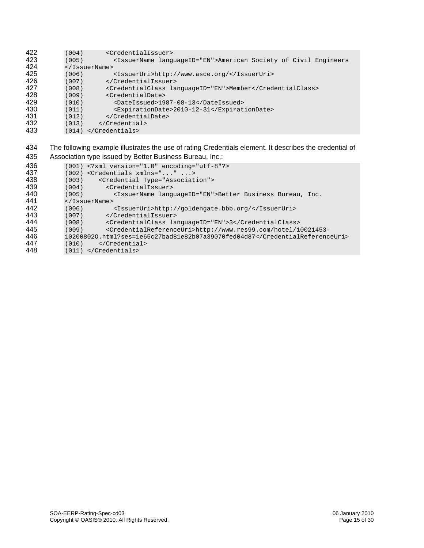| 422    | (004)<br><credentialissuer></credentialissuer>                                        |
|--------|---------------------------------------------------------------------------------------|
| 423    | (005)<br><issuername languageid="EN">American Society of Civil Engineers</issuername> |
| 424    |                                                                                       |
| 425    | <issueruri>http://www.asce.org/</issueruri><br>(006)                                  |
| 426    | <br>(007)                                                                             |
| 427    | <credentialclass languageid="EN">Member</credentialclass><br>(008)                    |
| 428    | <credentialdate><br/>(009)</credentialdate>                                           |
| 429    | (010)<br><dateissued>1987-08-13</dateissued>                                          |
| 430    | <expirationdate>2010-12-31</expirationdate><br>(011)                                  |
| 431    | <br>(012)                                                                             |
| 432    | <br>(013)                                                                             |
| 433    | $(014)$                                                                               |
|        |                                                                                       |
| $\sim$ |                                                                                       |

#### The following example illustrates the use of rating Credentials element. It describes the credential of Association type issued by Better Business Bureau, Inc.:

| 436 | $(001)$ xml version="1.0" encoding="utf-8"?                                                     |
|-----|-------------------------------------------------------------------------------------------------|
| 437 | $(002)$ <credentials xmlns=""></credentials>                                                    |
| 438 | <credential type="Association"><br/>(003)</credential>                                          |
| 439 | <credentialissuer><br/>(004)</credentialissuer>                                                 |
| 440 | (005)<br><issuername languageid="EN">Better Business Bureau, Inc.</issuername>                  |
| 441 | $\langle$ /IssuerName>                                                                          |
| 442 | <issueruri>http://qoldengate.bbb.org/</issueruri><br>(006)                                      |
| 443 | <br>(007)                                                                                       |
| 444 | <credentialclass languageid="EN">3</credentialclass><br>(008)                                   |
| 445 | <credentialreferenceuri>http://www.res99.com/hotel/10021453-<br/>(009)</credentialreferenceuri> |
| 446 | 102008020.html?ses=1e65c27bad81e82b07a39070fed04d87                                             |
| 447 | <br>(010)                                                                                       |
| 448 | $(011)$                                                                                         |
|     |                                                                                                 |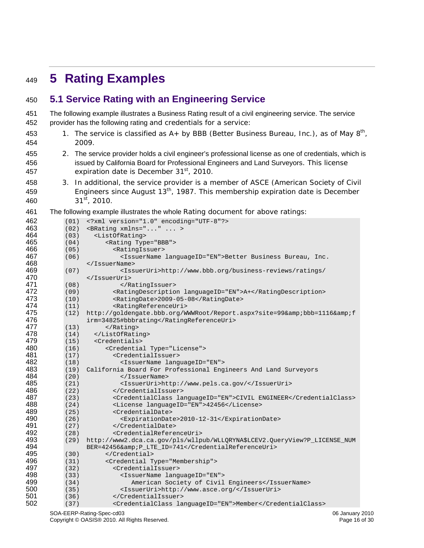### <span id="page-15-0"></span>**5 Rating Examples**

### **5.1 Service Rating with an Engineering Service**

The following example illustrates a Business Rating result of a civil engineering service. The service provider has the following rating and credentials for a service: 

- 1. The service is classified as  $A+$  by BBB (Better Business Bureau, Inc.), as of May  $8<sup>th</sup>$ , 2009.
- 2. The service provider holds a civil engineer's professional license as one of credentials, which is issued by California Board for Professional Engineers and Land Surveyors. This license expiration date is December 31<sup>st</sup>, 2010.
- 3. In additional, the service provider is a member of ASCE (American Society of Civil Engineers since August 13th, 1987. This membership expiration date is December 31st, 2010.
- The following example illustrates the whole Rating document for above ratings:

| 462 | (01) | xml version="1.0" encoding="UTF-8"?                                       |
|-----|------|---------------------------------------------------------------------------|
| 463 | (02) | <brating xmlns=""></brating>                                              |
| 464 | (03) | <listofrating></listofrating>                                             |
| 465 | (04) | <rating type="BBB"></rating>                                              |
| 466 | (05) | <ratingissuer></ratingissuer>                                             |
| 467 | (06) | <issuername languageid="EN">Better Business Bureau, Inc.</issuername>     |
| 468 |      | $\langle$ /IssuerName>                                                    |
| 469 | (07) | <issueruri>http://www.bbb.org/business-reviews/ratings/</issueruri>       |
| 470 |      |                                                                           |
| 471 | (08) |                                                                           |
| 472 | (09) | <ratingdescription languageid="EN">A+</ratingdescription>                 |
| 473 | (10) | <ratingdate>2009-05-08</ratingdate>                                       |
| 474 | (11) | <ratingreferenceuri></ratingreferenceuri>                                 |
| 475 | (12) | http://goldengate.bbb.org/WWWRoot/Report.aspx?site=99&bbb=1116&f          |
| 476 |      | irm=34825#bbbrating                                                       |
| 477 | (13) |                                                                           |
| 478 | (14) |                                                                           |
| 479 | (15) | <credentials></credentials>                                               |
| 480 | (16) | <credential type="License"></credential>                                  |
| 481 | (17) | <credentialissuer></credentialissuer>                                     |
| 482 | (18) | <issuername languageid="EN"></issuername>                                 |
| 483 | (19) | California Board For Professional Engineers And Land Surveyors            |
| 484 | (20) | $\langle$ /IssuerName>                                                    |
| 485 | (21) | <issueruri>http://www.pels.ca.gov/</issueruri>                            |
| 486 | (22) |                                                                           |
| 487 | (23) | <credentialclass languageid="EN">CIVIL ENGINEER</credentialclass>         |
| 488 | (24) | <license languageid="EN">42456</license>                                  |
| 489 | (25) | <credentialdate></credentialdate>                                         |
| 490 | (26) | <expirationdate>2010-12-31</expirationdate>                               |
| 491 | (27) |                                                                           |
| 492 | (28) | <credentialreferenceuri></credentialreferenceuri>                         |
| 493 | (29) | http://www2.dca.ca.qov/pls/wllpub/WLLQRYNA\$LCEV2.QueryView?P_LICENSE_NUM |
| 494 |      | BER=42456& P LTE ID=741                                                   |
| 495 | (30) |                                                                           |
| 496 | (31) | <credential type="Membership"></credential>                               |
| 497 | (32) | <credentialissuer></credentialissuer>                                     |
| 498 | (33) | <issuername languageid="EN"></issuername>                                 |
| 499 | (34) | American Society of Civil Engineers                                       |
| 500 | (35) | <issueruri>http://www.asce.org/</issueruri>                               |
| 501 | (36) |                                                                           |
| 502 | (37) | <credentialclass languageid="EN">Member</credentialclass>                 |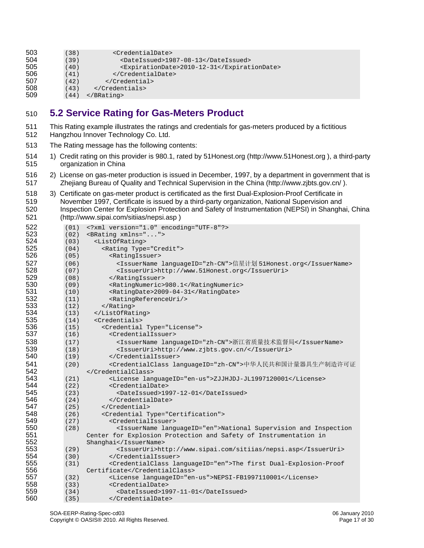<span id="page-16-0"></span>

| 503  | (38)      | <credentialdate></credentialdate>                |  |
|------|-----------|--------------------------------------------------|--|
| 504  | (39)      | <dateissued>1987-08-13</dateissued>              |  |
| 505  | (40)      | <expirationdate>2010-12-31</expirationdate>      |  |
| 506  | (41)      |                                                  |  |
| 507  | (42)      |                                                  |  |
| rno. | $\lambda$ | $\sim$ $\sim$ $\sim$ $\sim$ $\sim$ $\sim$ $\sim$ |  |

508 (43) </Credentials><br>509 (44) </BRating>

 $(44)$  </BRating>

### **5.2 Service Rating for Gas-Meters Product**

- This Rating example illustrates the ratings and credentials for gas-meters produced by a fictitious Hangzhou Innover Technology Co. Ltd.
- The Rating message has the following contents:
- 1) Credit rating on this provider is 980.1, rated by 51Honest.org [\(http://www.51Honest.org](http://www.51honest.org/) ), a third-party organization in China
- 2) License on gas-meter production is issued in December, 1997, by a department in government that is Zhejiang Bureau of Quality and Technical Supervision in the China (<http://www.zjbts.gov.cn/>).
- 3) Certificate on gas-meter product is certificated as the first Dual-Explosion-Proof Certificate in November 1997, Certificate is issued by a third-party organization, National Supervision and Inspection Center for Explosion Protection and Safety of Instrumentation (NEPSI) in Shanghai, China [\(http://www.sipai.com/sitiias/nepsi.asp](http://www.sipai.com/sitiias/nepsi.asp) )

| 522 | (01) | xml version="1.0" encoding="UTF-8"?                                               |
|-----|------|-----------------------------------------------------------------------------------|
| 523 | (02) | <brating xmlns=""></brating>                                                      |
| 524 | (03) | <listofrating></listofrating>                                                     |
| 525 | (04) | <rating type="Credit"></rating>                                                   |
| 526 | (05) | <ratingissuer></ratingissuer>                                                     |
| 527 | (06) | <issuername languageid="zh-CN">信星计划 51Honest.org</issuername>                     |
| 528 | (07) | <issueruri>http://www.51Honest.org</issueruri>                                    |
| 529 | (08) |                                                                                   |
| 530 | (09) | <ratingnumeric>980.1</ratingnumeric>                                              |
| 531 | (10) | <ratingdate>2009-04-31</ratingdate>                                               |
| 532 | (11) | <ratingreferenceuri></ratingreferenceuri>                                         |
| 533 | (12) |                                                                                   |
| 534 | (13) |                                                                                   |
| 535 | (14) | <credentials></credentials>                                                       |
| 536 | (15) | <credential type="License"></credential>                                          |
| 537 | (16) | <credentialissuer></credentialissuer>                                             |
| 538 | (17) | <issuername languageid="zh-CN">浙江省质量技术监督局</issuername>                            |
| 539 | (18) | <issueruri>http://www.zjbts.gov.cn/</issueruri>                                   |
| 540 | (19) |                                                                                   |
| 541 | (20) | <credentialclass languageid="zh-CN">中华人民共和国计量器具生产制造许可证</credentialclass>          |
| 542 |      |                                                                                   |
| 543 | (21) | <license languageid="en-us">ZJJHJDJ-JL1997120001</license>                        |
| 544 | (22) | <credentialdate></credentialdate>                                                 |
| 545 | (23) | <dateissued>1997-12-01</dateissued>                                               |
| 546 | (24) |                                                                                   |
| 547 | (25) |                                                                                   |
| 548 | (26) | <credential type="Certification"></credential>                                    |
| 549 | (27) | <credentialissuer></credentialissuer>                                             |
| 550 | (28) | <issuername languageid="en">National Supervision and Inspection</issuername>      |
| 551 |      | Center for Explosion Protection and Safety of Instrumentation in                  |
| 552 |      | Shanghai                                                                          |
| 553 | (29) | <issueruri>http://www.sipai.com/sitiias/nepsi.asp</issueruri>                     |
| 554 | (30) |                                                                                   |
| 555 | (31) | <credentialclass languageid="en">The first Dual-Explosion-Proof</credentialclass> |
| 556 |      | Certificate                                                                       |
| 557 | (32) | <license languageid="en-us">NEPSI-FB1997110001</license>                          |
| 558 | (33) | <credentialdate></credentialdate>                                                 |
| 559 | (34) | <dateissued>1997-11-01</dateissued>                                               |
| 560 | (35) |                                                                                   |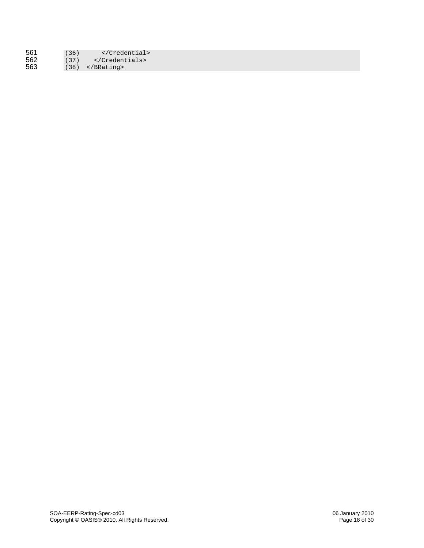| 561 | (36) |        |  |
|-----|------|--------|--|
| 562 |      | $(37)$ |  |
| 563 |      | $(38)$ |  |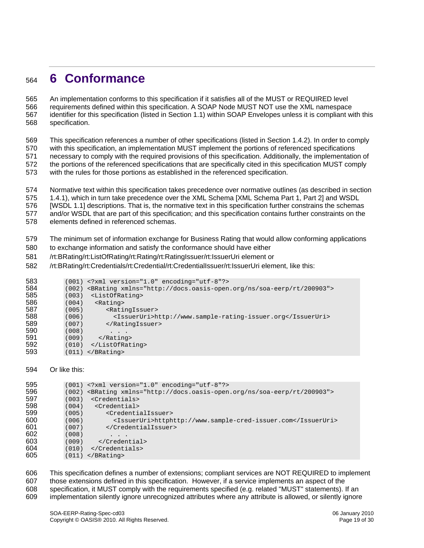### <span id="page-18-0"></span>**6 Conformance**

An implementation conforms to this specification if it satisfies all of the MUST or REQUIRED level requirements defined within this specification. A SOAP Node MUST NOT use the XML namespace identifier for this specification (listed in Section 1.1) within SOAP Envelopes unless it is compliant with this specification. 

 This specification references a number of other specifications (listed in Section 1.4.2). In order to comply with this specification, an implementation MUST implement the portions of referenced specifications necessary to comply with the required provisions of this specification. Additionally, the implementation of the portions of the referenced specifications that are specifically cited in this specification MUST comply with the rules for those portions as established in the referenced specification.

 Normative text within this specification takes precedence over normative outlines (as described in section 1.4.1), which in turn take precedence over the XML Schema [XML Schema Part 1, Part 2] and WSDL

 [WSDL 1.1] descriptions. That is, the normative text in this specification further constrains the schemas

 and/or WSDL that are part of this specification; and this specification contains further constraints on the

 elements defined in referenced schemas.

 The minimum set of information exchange for Business Rating that would allow conforming applications

 to exchange information and satisfy the conformance should have either

 /rt:BRating/rt:ListOfRating/rt:Rating/rt:RatingIssuer/rt:IssuerUri element or

 /rt:BRating/rt:Credentials/rt:Credential/rt:CredentialIssuer/rt:IssuerUri element, like this:

| 583 |       | $(001)$ xml version="1.0" encoding="utf-8"?                                        |
|-----|-------|------------------------------------------------------------------------------------|
| 584 |       | (002) <brating xmlns="http://docs.oasis-open.org/ns/soa-eerp/rt/200903"></brating> |
| 585 | (003) | <listofrating></listofrating>                                                      |
| 586 | (004) | <rating></rating>                                                                  |
| 587 | (005) | <ratingissuer></ratingissuer>                                                      |
| 588 | (006) | <issueruri>http://www.sample-rating-issuer.org</issueruri>                         |
| 589 | (007) |                                                                                    |
| 590 | (008) | .                                                                                  |
| 591 | (009) | $\langle Ratinq\rangle$                                                            |
| 592 | (010) |                                                                                    |
| 593 |       | $(011)$                                                                            |
|     |       |                                                                                    |

#### 594 Or like this:

| 595 |       | $(001)$ xml version="1.0" encoding="utf-8"?                                  |
|-----|-------|------------------------------------------------------------------------------|
| 596 | (002) | <brating xmlns="http://docs.oasis-open.org/ns/soa-eerp/rt/200903"></brating> |
| 597 | (003) | <credentials></credentials>                                                  |
| 598 | (004) | <credential></credential>                                                    |
| 599 | (005) | <credentialissuer></credentialissuer>                                        |
| 600 | (006) | <issueruri>httphttp://www.sample-cred-issuer.com</issueruri>                 |
| 601 | (007) |                                                                              |
| 602 | (008) | .                                                                            |
| 603 | (009) |                                                                              |
| 604 | (010) |                                                                              |
| 605 |       | $(011)$                                                                      |
|     |       |                                                                              |

 This specification defines a number of extensions; compliant services are NOT REQUIRED to implement those extensions defined in this specification. However, if a service implements an aspect of the specification, it MUST comply with the requirements specified (e.g. related "MUST" statements). If an implementation silently ignore unrecognized attributes where any attribute is allowed, or silently ignore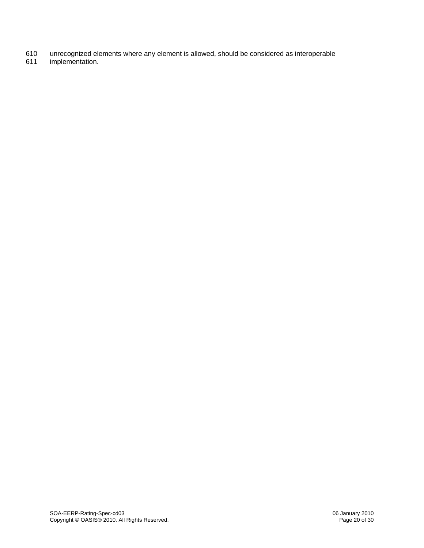- 610 unrecognized elements where any element is allowed, should be considered as interoperable
- 611 implementation.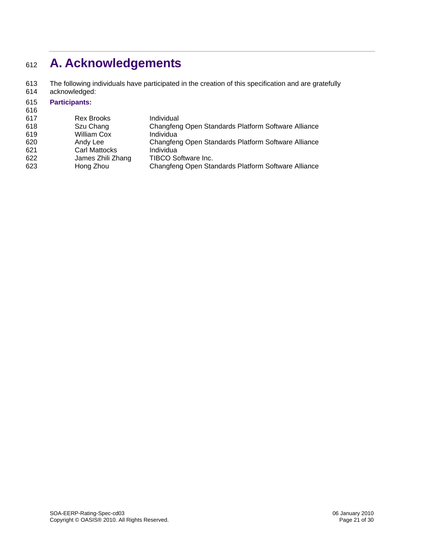## <span id="page-20-0"></span><sup>612</sup>**A. Acknowledgements**

The following individuals have participated in the creation of this specification and are gratefully acknowledged: 613 614

#### 615 **Participants:**

| 616 |                      |                                                     |
|-----|----------------------|-----------------------------------------------------|
| 617 | <b>Rex Brooks</b>    | Individual                                          |
| 618 | Szu Chang            | Changfeng Open Standards Platform Software Alliance |
| 619 | <b>William Cox</b>   | Individua                                           |
| 620 | Andy Lee             | Changfeng Open Standards Platform Software Alliance |
| 621 | <b>Carl Mattocks</b> | Individua                                           |
| 622 | James Zhili Zhang    | TIBCO Software Inc.                                 |
| 623 | Hong Zhou            | Changfeng Open Standards Platform Software Alliance |
|     |                      |                                                     |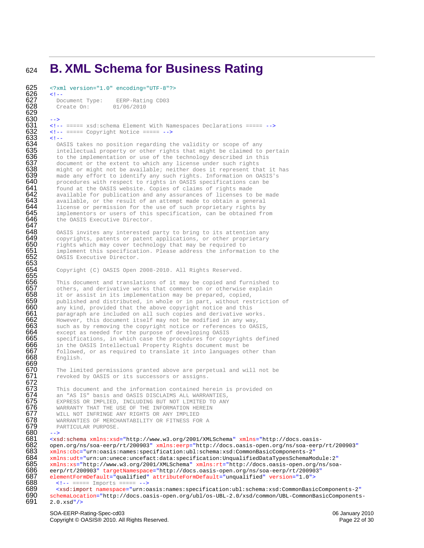### <span id="page-21-0"></span><sup>624</sup>**B. XML Schema for Business Rating**

```
625 <?xml version="1.0" encoding="UTF-8"?>
626 \leq 1 - 1<br>\leq 627 De
         Document Type: EERP-Rating CD03
```
Create On: 01/06/2010

630 --> 631 <!-- ===== xsd:schema Element With Namespaces Declarations ===== -->  $\langle -|$  ===== Copyright Notice ===== -->

#### $633 \cdot 1 -$

629

646<br>647<br>648

653

655

669<br>670

671<br>672<br>673

680<br>681<br>682

634 OASIS takes no position regarding the validity or scope of any intellectual property or other rights that might be claimed to to the implementation or use of the technology described in th: intellectual property or other rights that might be claimed to pertain 636 to the implementation or use of the technology described in this 637 document or the extent to which any license under such rights 637 document or the extent to which any license under such rights 638 might or might not be available; neither does it represent the 638 might or might not be available; neither does it represent that it has<br>639 made any effort to identify any such rights. Information on OASIS's<br>640 procedures with respect to rights in OASIS specifications can be<br>641 fo made any effort to identify any such rights. Information on OASIS's procedures with respect to rights in OASIS specifications can be 641 found at the OASIS website. Copies of claims of rights made<br>642 available for publication and any assurances of licenses to  $642$  available for publication and any assurances of licenses to be made  $643$  available, or the result of an attempt made to obtain a general  $643$  available, or the result of an attempt made to obtain a general  $644$  license or permission for the use of such proprietary rights by 644 license or permission for the use of such proprietary rights by<br>645 implementors or users of this specification, can be obtained fr implementors or users of this specification, can be obtained from the OASIS Executive Director.

 $648$  OASIS invites any interested party to bring to its attention any  $649$  copyrights, patents or patent applications, or other proprietary  $649$  copyrights, patents or patent applications, or other proprietary  $650$  rights which may cover technology that may be required to 650 rights which may cover technology that may be required to  $651$  implement this specification. Please address the informat **651** implement this specification. Please address the information to the **652** OASIS Executive Director. OASIS Executive Director.

Copyright (C) OASIS Open 2008-2010. All Rights Reserved.

 $\overline{656}$  This document and translations of it may be copied and furnished to  $\overline{657}$  others, and derivative works that comment on or otherwise explain 657 others, and derivative works that comment on or otherwise explain<br>658 it or assist in its implementation may be prepared, copied,<br>659 published and distributed, in whole or in part, without restriction it or assist in its implementation may be prepared, copied,  $659$  published and distributed, in whole or in part, without restriction of  $660$  any kind, provided that the above copyright notice and this 660 any kind, provided that the above copyright notice and this<br>661 baragraph are included on all such copies and derivative wo  $661$  paragraph are included on all such copies and derivative works.<br> $662$  However, this document itself may not be modified in any way, 662 However, this document itself may not be modified in any way, 663 such as by removing the copyright notice or references to OAS 663 such as by removing the copyright notice or references to OASIS,<br>664 except as needed for the purpose of developing OASIS 664 except as needed for the purpose of developing OASIS<br>665 specifications, in which case the procedures for copy  $665$  specifications, in which case the procedures for copyrights defined  $666$  in the OASIS Intellectual Property Rights document must be 666 in the OASIS Intellectual Property Rights document must be followed, or as required to translate it into languages otl<br>668 English. followed, or as required to translate it into languages other than English.

> The limited permissions granted above are perpetual and will not be revoked by OASIS or its successors or assigns.

673 This document and the information contained herein is provided on 674 an "AS IS" basis and OASIS DISCLAIMS ALL WARRANTIES, 674 an "AS IS" basis and OASIS DISCLAIMS ALL WARRANTIES,<br>675 EXPRESS OR IMPLIED, INCLUDING BUT NOT LIMITED TO ANY **675** EXPRESS OR IMPLIED, INCLUDING BUT NOT LIMITED TO ANY **676** WARRANTY THAT THE USE OF THE INFORMATION HEREIN 676 WARRANTY THAT THE USE OF THE INFORMATION HEREIN<br>677 WILL NOT INFRINGE ANY RIGHTS OR ANY IMPLIED 677 MILL NOT INFRINGE ANY RIGHTS OR ANY IMPLIED<br>678 MARRANTIES OF MERCHANTABILITY OR FITNESS FO<br>679 PARTICULAR PURPOSE. WARRANTIES OF MERCHANTABILITY OR FITNESS FOR A PARTICULAR PURPOSE.

<xsd:schema xmlns:xsd="http://www.w3.org/2001/XMLSchema" xmlns="http://docs.oasis-682 open.org/ns/soa-eerp/rt/200903" xmlns:eerp="http://docs.oasis-open.org/ns/soa-eerp/rt/200903"<br>683 xmlns:cbc="urn:oasis:names:specification:ubl:schema:xsd:CommonBasicComponents-2" xmlns:cbc="urn:oasis:names:specification:ubl:schema:xsd:CommonBasicComponents-2" xmlns:udt="urn:un:unece:uncefact:data:specification:UnqualifiedDataTypesSchemaModule:2" 685 xmlns:xs="http://www.w3.org/2001/XMLSchema" xmlns:rt="http://docs.oasis-open.org/ns/soa-<br>686 eerp/rt/200903" targetNamespace="http://docs.oasis-open.org/ns/soa-eerp/rt/200903" eerp/rt/200903" targetNamespace="http://docs.oasis-open.org/ns/soa-eerp/rt/200903" elementFormDefault="qualified" attributeFormDefault="unqualified" version="1.0"> <!-- ===== Imports ===== -->

689 <xsd:import namespace="urn:oasis:names:specification:ubl:schema:xsd:CommonBasicComponents-2" 690 schemaLocation="http://docs.oasis-open.org/ubl/os-UBL-2.0/xsd/common/UBL-CommonBasicComponents-<br>691 2.0.xsd"/>  $2.0.xsd''/$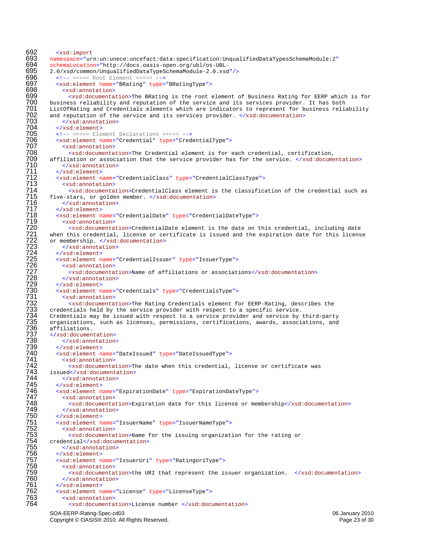```
692 <xsd:import<br>693 namespace="ur
693 namespace="urn:un:unece:uncefact:data:specification:UnqualifiedDataTypesSchemaModule:2"<br>694 schemaLocation="http://docs.oasis-open.org/ubl/os-UBL-<br>695 2.0/xsd/common/UnqualifiedDataTypeSchemaModule-2.0.xsd"/>
           schemaLocation="http://docs.oasis-open.org/ubl/os-UBL-
695 2.0/xsd/common/UnqualifiedDataTypeSchemaModule-2.0.xsd"/><br>696 \langle-- ===== Root Element ===== -->
696 \leq 1-\frac{1}{2} ===== Root Element ===== --><br>697 \leqxsd:element name="BRating" type=
697 <xsd:element name="BRating" type="BRatingType"><br>698 <xsd:annotation><br>699 <xsd:documentation>The BRating is the root of Dusiness reliability and reputation of the service ListOfRating and Credentials elements which are 
                698 <xsd:annotation>
                   699 <xsd:documentation>The BRating is the root element of Business Rating for EERP which is for 
           business reliability and reputation of the service and its services provider. It has both
701 ListOfRating and Credentials elements which are indicators to represent for business reliability<br>702 and reputation of the service and its services provider. </xsd:documentation>
702 and reputation of the service and its services provider. </xsd:documentation>
                </xsd:annotation>
704 </xsd:element>
705 <!-- ===== Element Declarations ===== --><br>706 <xsd:element name="Credential" type="Cred<br>707 <xsd:annotation><br>708 <xsd:documentation>The Credential ele
             <xsd:element name="Credential" type="CredentialType">
                707 <xsd:annotation>
708 <xsd:documentation>The Credential element is for each credential, certification, 
709 affiliation or association that the service provider has for the service. </xsd:documentation>
                </xsd:annotation>
             711 </xsd:element>
712 <xsd:element name="CredentialClass" type="CredentialClassType">
713 <xsd:annotation><br>714 <xsd:documenta<br>715 five-stars, or golde<br>716 </xsd:annotation
                   714 <xsd:documentation>CredentialClass element is the classification of the credential such as 
           five-stars, or golden member. </xsd:documentation>
%717<br>
716 </xsd:element><br>
7717 </xsd:element><br>
7718 <xsd:element<br>
7719 <xsd:element<br>
7720 courent hais credential,<br>
7721 when this credential,<br>
7722 commends are dential,<br>
7723 </xsd:element><br>
7725 <xsd:element><br>
7726 cxsd
              </xsd:element>
             718 <xsd:element name="CredentialDate" type="CredentialDateType">
                719 <xsd:annotation>
                   720 <xsd:documentation>CredentialDate element is the date on this credential, including date 
           when this credential, license or certificate is issued and the expiration date for this license
           or membership. </xsd:documentation>
                723 </xsd:annotation>
             724 </xsd:element>
             725 <xsd:element name="CredentialIssuer" type="IssuerType">
                <xsd:annotation>
                   727 <xsd:documentation>Name of affiliations or associations</xsd:documentation>
                728 </xsd:annotation>
              729 </xsd:element>
             730 <xsd:element name="Credentials" type="CredentialsType">
                <xsd:annotation>
                   732 <xsd:documentation>The Rating Credentials element for EERP-Rating, describes the 
           credentials held by the service provider with respect to a specific service.
           Credentials may be issued with respect to a service provider and service by third-party
           organizations, such as licenses, permissions, certifications, awards, associations, and
           affiliations.
           737 </xsd:documentation>
                </xsd:annotation>
             739 </xsd:element>
             <xsd:element name="DateIssued" type="DateIssuedType">
                741 <xsd:annotation>
                   742 <xsd:documentation>The date when this credential, license or certificate was 
743 issued</xsd:documentation><br>744 </xsd:annotation><br>745 </xsd:element>
                744 </xsd:annotation>
745 </xsd:element><br>746 <<xsd:element n<br>747 <xsd:element n<br>752 </xsd:annotat<br>750 </xsd:element><br>755 </xsd:element><br>755 <xsd:element n<br>752 <xsd:element n<br>753 <xsd:element n<br>753 <xsd:element n<br>753 <xsd:annotat<br>754 credential<
             746 <xsd:element name="ExpirationDate" type="ExpirationDateType">
                <xsd:annotation>
                   748 <xsd:documentation>Expiration date for this license or membership</xsd:documentation>
                749 </xsd:annotation>
              750 </xsd:element>
              <xsd:element name="IssuerName" type="IssuerNameType">
                752 <xsd:annotation>
                   753 <xsd:documentation>Name for the issuing organization for the rating or 
           credential</xsd:documentation>
755 </xsd:annotation><br>756 </xsd:element><br>757 <xsd:element name="<br>758 <xsd:annotation><br>759 <xsd:documentat
              756 </xsd:element>
             757 <xsd:element name="IssuerUri" type="RatingUriType">
                <xsd:annotation>
%759 <xsd:documentation>the URI that represent the issuer organization. </xsd:documentation><br>760 </xsd:element><br>761 </xsd:element><br>762 <xsd:element name="License" type="LicenseType"><br>763 <xsd:annotation><br>764 <xsd:documenta
                </xsd:annotation>
              761 </xsd:element>
              762 <xsd:element name="License" type="LicenseType">
                <xsd:annotation>
                   764 <xsd:documentation>License number </xsd:documentation>
```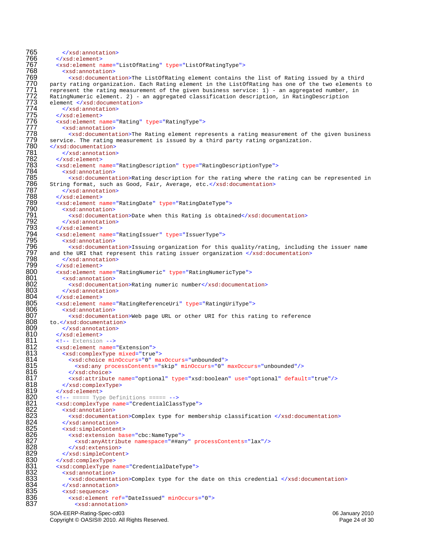765  $\langle x \rangle$  /xsd: annotation><br>766  $\langle x \rangle$  /xsd: element> 766 </xsd:element> 767 <xsd:element name="ListOfRating" type="ListOfRatingType"> 768 <xsd:annotation><br>769 <xsd:documenta %769 (xxd:documentation>The ListOfRating element contains the list of Rating issued by a third<br>770 party rating organization. Each Rating element in the ListOfRating has one of the two elements<br>772 ratingNumeric element. 2 party rating organization. Each Rating element in the ListOfRating has one of the two elements to represent the rating measurement of the given business service: 1) - an aggregated number, in RatingNumeric element. 2) - an aggregated classification description, in RatingDescription element </xsd:documentation> </xsd:annotation> 775 </xsd:element> <xsd:element name="Rating" type="RatingType"> <xsd:annotation> 778 <xsd:documentation>The Rating element represents a rating measurement of the given business 779 service. The rating measurement is issued by a third party rating organization.<br>780 </xsd:documentation> 780 </xsd:documentation><br>781 </xsd:annotation<br>782 </xsd:element> </xsd:annotation> 782 </xsd:element> 783 <xsd:element name="RatingDescription" type="RatingDescriptionType"> 784 <xsd:annotation> <xsd:documentation>Rating description for the rating where the rating can be represented in 786 String format, such as Good, Fair, Average, etc.</xsd:documentation> 787 </xsd:annotation> 788 </xsd:element><br>789 <xsd:element n %789 <xsd:element name="RatingDate" type="RatingDateType"><br>790 <xsd:annotation><br>791 <xsd:documentation>Date when this Rating is obtain<br>792 </xsd:element><br>793 </xsd:element name="RatingIssuer" type="IssuerType"><br>795 <xsd:el <xsd:annotation> 791 <xsd:documentation>Date when this Rating is obtained</xsd:documentation> 792 </xsd:annotation> 793 </xsd:element> 794 <xsd:element name="RatingIssuer" type="IssuerType"> <xsd:annotation> 796 <xsd:documentation>Issuing organization for this quality/rating, including the issuer name 797 and the URI that represent this rating issuer organization </xsd:documentation> 798 </xsd:annotation> 799 </xsd:element> 800 <xsd:element name="RatingNumeric" type="RatingNumericType"><br>801 <xsd:annotation> 801 <xsd:annotation><br>802 <xsd:documenta 802 <xsd:documentation>Rating numeric number</xsd:documentation><br>803 </xsd:annotation> 803 </xsd:annotation><br>804 </xsd:element> 804 </xsd:element><br>805 <xsd:element n 805 <xsd:element name="RatingReferenceUri" type="RatingUriType"><br>806 <xsd:annotation> 806 <xsd:annotation:<br>807 <xsd:documenta 807 cxsd:documentation>Web page URL or other URI for this rating to reference<br>808 to.</xsd:documentation> 808 to.</xsd:documentation><br>809 </xsd:annotation> 809 </xsd:annotation><br>810 </xsd:element> 810 </xsd:element><br>811 <!-- Extension 811 <!-- Extension --><br>812 <xsd:element name= 812 < xsd:element name="Extension"><br>813 < xsd:complexType mixed="true 813 - xsd:complexType mixed="true"><br>814 - xsd:choice minOccurs="0" ma 814 <xsd:choice minOccurs="0" maxOccurs="unbounded"><br>815 - <xsd:any processContents="skip" minOccurs="0" u 815 <xsd:any processContents="skip" minOccurs="0" maxOccurs="unbounded"/><br>816 </xsd:choice> 816 </xsd:choice><br>817 <xsd:attribut 817 <xsd:attribute name="optional" type="xsd:boolean" use="optional" default="true"/> 818 </xsd:complexType><br>819 </xsd:element> 819 </xsd:element> 820 <!-- ===== Type Definitions ===== --> 821 <xsd:complexType name="CredentialClassType"><br>822 <xsd:annotation><br>823 <xsd:documentation>Complex type for members 824 </xsd:annotation> 822 <xsd:annotation> 823 <xsd:documentation>Complex type for membership classification </xsd:documentation> 824 </xsd:annotation><br>825 <xsd:simpleConten<br>826 <xsd:extension 825 <xsd:simpleContent> 826 <xsd:extension base="cbc:NameType"><br>827 <xsd:anyAttribute namespace="##an<br>828 </xsd:extension> 827 <xsd:anyAttribute namespace="##any" processContents="lax"/> 828 </xsd:extension><br>829 </xsd:simpleConten<br>830 </xsd:complexType> 829 </xsd:simpleContent> 830 </xsd:complexType><br>831 <xsd:complexType n<br>832 <xsd:annotation> 831 <xsd:complexType name="CredentialDateType"> 832 <xsd:annotation><br>833 <xsd:documenta 833 <xsd:documentation>Complex type for the date on this credential </xsd:documentation><br>834 </xsd:annotation> 834 </xsd:annotation><br>835 <xsd:sequence> 835 <xsd:sequence> 836 <xsd:element ref="DateIssued" minOccurs="0"><br>837 <xsd:annotation> 837 <xsd:annotation>

SOA-EERP-Rating-Spec-cd03 06 January 2010 Copyright © OASIS® 2010. All Rights Reserved. **Page 24 of 30** Page 24 of 30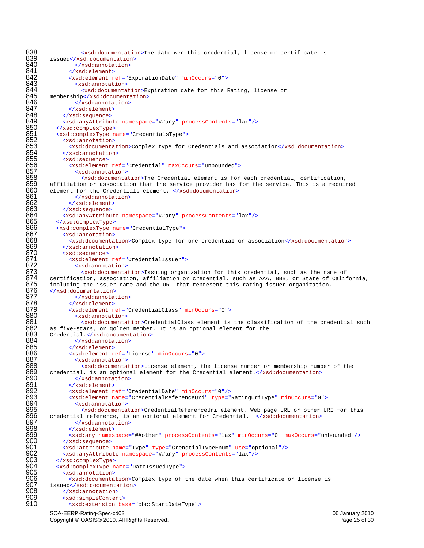SOA-EERP-Rating-Spec-cd03 06 January 2010 838  $\alpha$   $\alpha$ ssd:documentation>The date wen this credential, license or certificate is 839 issued</xsd:documentation> 839 issued</xsd:documentation><br>840 </xsd:annotation> 840 </xsd:annotation><br>841 </xsd:element> 841 </xsd:element><br>842 <xsd:element r 842 <xsd:element ref="ExpirationDate" minOccurs="0"><br>843 <xsd:annotation> 843 <xsd:annotation> 844  $\leq x$ sd:documentation>Expiration date for this Rating, license or 845 membership</xsd:documentation> 845 membership</xsd:documentation><br>846 </xsd:annotation><br>847 </xsd:element><br>848 </xsd:sequence> 846 </xsd:annotation> 847 </xsd:element> 848 </xsd:sequence><br>849 <xsd:anyAttribu<br>850 </xsd:complexType <xsd:anyAttribute namespace="##any" processContents="lax"/> 850 </xsd:complexType><br>851 <xsd:complexType n<br>852 <xsd:annotation> 851 <xsd:complexType name="CredentialsType"> 852 <xsd:annotation><br>853 <xsd:documenta<br>854 </xsd:annotation<br>855 <xsd:sequence> 853 <xsd:documentation>Complex type for Credentials and association</xsd:documentation> 854 </xsd:annotation> 855 <xsd:sequence> 856 <xsd:element ref="Credential" maxOccurs="unbounded"> 857 <xsd:annotation><br>858 <xsd:documenta 858 <xsd:documentation>The Credential element is for each credential, certification, 859 affiliation or association that the service provider has for the service. This is a required  $860$  element for the Credentials element. </xsd:documentation> 860 element for the Credentials element. </xsd:documentation> 861 </xsd:annotation><br>862 </xsd:element> 862 </xsd:element><br>863 </xsd:sequence> 863 </xsd:sequence><br>864 <xsd:anyAttribu 864 <xsd:anyAttribute namespace="##any" processContents="lax"/><br>865 </xsd:complexType> 865 </xsd:complexType> 866 <xsd:complexType name="CredentialType"><br>867 <xsd:annotation> 867 <xsd:annotation><br>868 <xsd:documenta 868 <xsd:documentation>Complex type for one credential or association</xsd:documentation><br>869 </xsd:annotation> 869 </xsd:annotation><br>870 <xsd:sequence> 870 <xsd:sequence><br>871 <xsd:element<br>872 <xsd:annot 871 <xsd:element ref="CredentialIssuer"> 872 <xsd:annotation><br>873 <xsd:documenta<br>874 certification, associat<br>875 including the issuer na<br>876 </xsd:documentation><br>877 </xsd:annotation 873 <xsd:documentation>Issuing organization for this credential, such as the name of 874 certification, association, affiliation or credential, such as AAA, BBB, or State of California, including the issuer name and the URI that represent this rating issuer organization. 876 </xsd:documentation> 877 </xsd:annotation><br>878 </xsd:element><br>879 <xsd:element ref="C 878 </xsd:element> 879 <xsd:element ref="CredentialClass" minOccurs="0"><br>880 <xsd:annotation> 880 <xsd:annotation><br>881 <xsd:documenta 881 <xsd:documentation>CredentialClass element is the classification of the credential such<br>882 as five-stars, or golden member. It is an optional element for the 882 as five-stars, or golden member. It is an optional element for the  $883$  Credential.</xsd:documentation> 883 Credential.</xsd:documentation><br>884 </xsd:annotation> 884 </xsd:annotation><br>885 </xsd:element> 885 </xsd:element><br>886 <- xsd:element r 886 <xsd:element ref="License" minOccurs="0"> 887 > xsd:annotation><br>888 > xsd:documenta 888  $\leq x$ sd:documentation>License element, the license number or membership number of the 889 credential, is an optional element for the Credential element. $\lt/ x$ sd:documentation> 889 credential, is an optional element for the Credential element.</xsd:documentation><br>890 </xsd:annotation> 890 </xsd:annotation><br>891 </xsd:element> 891 </xsd:element> 892 <xsd:element ref="CredentialDate" minOccurs="0"/><br>893 <xsd:element name="CredentialReferenceUri" type=" 893 <xsd:element name="CredentialReferenceUri" type="RatingUriType" minOccurs="0"> 894 <xsd:annotation> 895 <xsd:documentation>CredentialReferenceUri element, Web page URL or other URI for this 896 credential reference, is an optional element for Credential. </xsd:documentation> 897 </xsd:annotation><br>898 </xsd:element> 898 </xsd:element> 899 <xsd:any namespace="##other" processContents="lax" minOccurs="0" maxOccurs="unbounded"/> 900 </xsd:sequence><br>901 <xsd:attribute 901 <xsd:attribute name="Type" type="CrendtialTypeEnum" use="optional"/><br>902 <xsd:anyAttribute namespace="##any" processContents="lax"/> 902 <xsd:anyAttribute namespace="##any" processContents="lax"/><br>903 </xsd:complexType> 903 </xsd:complexType><br>904 <xsd:complexType n 904 <xsd:complexType name="DateIssuedType"> 905 <xsd:annotation><br>906 <xsd:documenta 906  $\leq$  <xsd:documentation>Complex type of the date when this certificate or license is 907 issued</xsd:documentation> 907 issued</xsd:documentation><br>908 </xsd:annotation> 908 </xsd:annotation><br>909 <xsd:simpleConten<br>910 <xsd:extension 909 <xsd:simpleContent> 910 <xsd:extension base="cbc:StartDateType">

Copyright © OASIS® 2010. All Rights Reserved. **Page 25 of 30** Page 25 of 30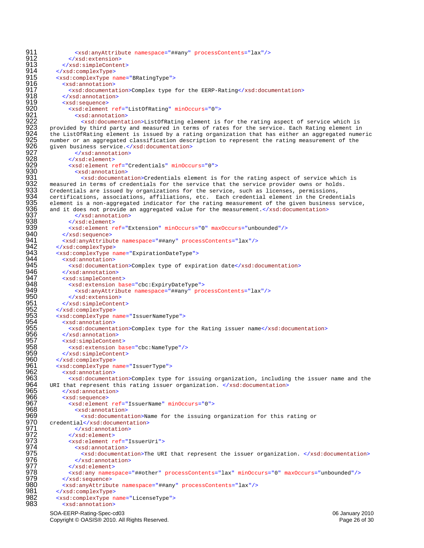911 <xsd:anyAttribute namespace="##any" processContents="lax"/><br>912 </xsd:extension> 912 </xsd:extension><br>913 </xsd:simpleConter 913 </xsd:simpleContent><br>914 </xsd:complexType> 914 </xsd:complexType><br>915 <xsd:complexType n 915 < xsd:complexType name="BRatingType"><br>916 < xsd:annotation> 916 <xsd:annotation> 917 <xsd:documentation>Complex type for the EERP-Rating</xsd:documentation><br>918 </xsd:annotation><br>919 <xsd:sequence> 918 </xsd:annotation> 919 <xsd:sequence><br>920 <xsd:element<br>921 <xsd:annot 920 <xsd:element ref="ListOfRating" minOccurs="0"> 921 <xsd:annotation><br>922 <xsd:documenta<br>923 provided by third party 922 <xsd:documentation>ListOfRating element is for the rating aspect of service which is 923 provided by third party and measured in terms of rates for the service. Each Rating element in<br>924 the ListOfRating element is issued by a rating organization that has either an aggregated nume: 924 the ListOfRating element is issued by a rating organization that has either an aggregated numeric<br>925 number or an aggregated classification description to represent the rating measurement of the<br>926 siven business ser number or an aggregated classification description to represent the rating measurement of the 926 given business service.</xsd:documentation> 927 </xsd:annotation> 928 </xsd:element><br>929 <xsd:element<br>930 <xsd:annotat 929 <xsd:element ref="Credentials" minOccurs="0"> 930 <xsd:annotation><br>931 <xsd:documenta<br>932 measured in terms of cre<br>933 Credentials are issued 9<br>934 certifications, associate <xsd:documentation>Credentials element is for the rating aspect of service which is measured in terms of credentials for the service that the service provider owns or holds. Credentials are issued by organizations for the service, such as licenses, permissions, 934 certifications, associations, affiliations, etc. Each credential element in the Credentials<br>935 element is a non-aggregated indicator for the rating measurement of the given business servi 935 element is a non-aggregated indicator for the rating measurement of the given business service,<br>936 and it does not provide an aggregated value for the measurement.</xsd:documentation><br>937 and it does not provide an aggregated value for the measurement.</xsd:documentation> 937 </xsd:annotation><br>938 </xsd:element><br>939 <xsd:element ref="E 938 </xsd:element> 939 <xsd:element ref="Extension" minOccurs="0" maxOccurs="unbounded"/> 940 </xsd:sequence><br>941 <xsd:anyAttribu 941 <xsd:anyAttribute namespace="##any" processContents="lax"/><br>942 </xsd:complexTvpe> 942 </xsd:complexType><br>943 <xsd:complexType n 943 <xsd:complexType name="ExpirationDateType"><br>944 <xsd:annotation> 944 <xsd:annotation><br>945 - <xsd:documenta 945 <xsd:documentation>Complex type of expiration date</xsd:documentation><br>946 </xsd:annotation> 946 </xsd:annotation><br>947 <xsd:simpleConten 947 <xsd:simpleContent> 948 <xsd:extension base="cbc:ExpiryDateType"><br>949 <xsd:anvAttribute namespace="##anv" pro 949 <xsd:anyAttribute namespace="##any" processContents="lax"/> 950 </xsd:extension><br>951 </xsd:simpleConter<br>952 </xsd:complexType> 951 </xsd:simpleContent> 952 </xsd:complexType><br>953 <xsd:complexType n 953 <xsd:complexType name="IssuerNameType"><br>954 <xsd:annotation><br>955 <xsd:documentation>Complex type for<br>956 </xsd:annotation><br>957 <xsd:simpleContent> 954 <xsd:annotation> 955 <xsd:documentation>Complex type for the Rating issuer name</xsd:documentation> 956 </xsd:annotation> 957 <xsd:simpleContent><br>958 <xsd:extension ba 958 <xsd:extension base="cbc:NameType"/><br>959 </xsd:simpleContent> 959 </xsd:simpleContent><br>960 </xsd:complexType> 960 </xsd:complexType><br>961 <xsd:complexType n 961 <xsd:complexType name="IssuerType"> 962 <xsd:annotation><br>963 <xsd:documenta<br>964 URI that represent t 963 <xsd:documentation>Complex type for issuing organization, including the issuer name and the 964 URI that represent this rating issuer organization.  $\langle x \rangle$  /xsd:documentation><br>965 (xsd:annotation> 965 </xsd:annotation><br>966 <xsd:sequence> 966 <xsd:sequence> 967 <xsd:element ref="IssuerName" minOccurs="0"><br>968 <xsd:annotation> 968 <xsd:annotation> 969 <xsd:documentation>Name for the issuing organization for this rating or 970 credential</xsd:documentation><br>971 </xsd:annotation> credential</xsd:documentation> 971 </xsd:annotation><br>972 </xsd:element> 972 </xsd:element><br>973 <xsd:element r 973 <xsd:element ref="IssuerUri"><br>974 <xsd:annotation> 974 <xsd:annotation><br>975 <xsd:documenta 975 <xsd:documentation>The URI that represent the issuer organization. </xsd:documentation><br>976 </xsd:annotation> 976 </xsd:annotation><br>977 </xsd:element> 977 </xsd:element> 978 <xsd:any namespace="##other" processContents="lax" minOccurs="0" maxOccurs="unbounded"/> 979 </xsd:sequence><br>980 <xsd:anyAttribu 980 <xsd:anyAttribute namespace="##any" processContents="lax"/><br>981 </xsd:complexType> 981 </xsd:complexType><br>982 <xsd:complexType n 982 <xsd:complexType name="LicenseType"> <xsd:annotation>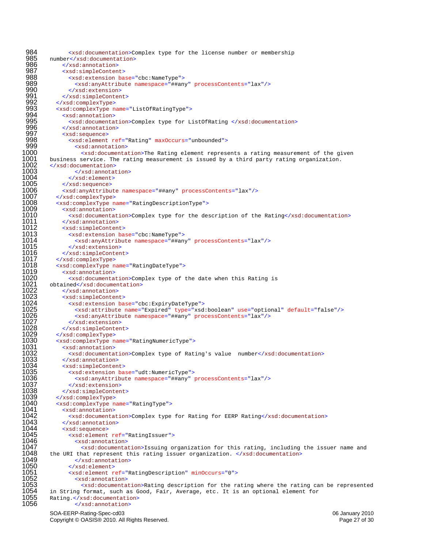$\leq x$ sd:documentation>Complex type for the license number or membership<br>985 number</xsd:documentation> 985 number</xsd:documentation><br>986 </xsd:annotation> 986 </xsd:annotation><br>987 <xsd:simpleConten 987 <xsd:simpleContent><br>988 <xsd:extension ba <xsd:extension base="cbc:NameType"> <xsd:anyAttribute namespace="##any" processContents="lax"/> 990 </xsd:extension><br>991 </xsd:simpleConter 991 </xsd:simpleContent><br>992 </xsd:complexType> 992 </xsd:complexType><br>993 <xsd:complexType n 993 <xsd:complexType name="ListOfRatingType"><br>994 <xsd:annotation> <xsd:annotation> 995 <xsd:documentation>Complex type for ListOfRating </xsd:documentation><br>996 </xsd:annotation> 996 </xsd:annotation><br>997 <xsd:sequence> <xsd:sequence> 998 <xsd:element ref="Rating" maxOccurs="unbounded"><br>999 <xsd:annotation> <xsd:annotation>  $\times$ sd:documentation>The Rating element represents a rating measurement of the given<br>1001 business service. The rating measurement is issued by a third party rating organization. business service. The rating measurement is issued by a third party rating organization.<br>1002 </xsd:documentation> 1002 </xsd:documentation><br>1003 </xsd:annotat </xsd:annotation> </xsd:element> </xsd:sequence> <xsd:anyAttribute namespace="##any" processContents="lax"/> </xsd:complexType> <xsd:complexType name="RatingDescriptionType"> 1009 <xsd:annotation><br>1010 <xsd:documenta 1010 <xsd:documentation>Complex type for the description of the Rating</xsd:documentation><br>1011 </xsd:annotation> </xsd:annotation> <xsd:simpleContent> -«1013 <xsd:extension base="cbc:NameType"><br>1014 <xsd:anyAttribute namespace="##an <xsd:anyAttribute namespace="##any" processContents="lax"/> </xsd:extension> </xsd:simpleContent> </xsd:complexType> <xsd:complexType name="RatingDateType"> <xsd:annotation> 1020 <xsd:documentation>Complex type of the date when this Rating is<br>1021 obtained</xsd:documentation><br>1022 </xsd:annotation> obtained</xsd:documentation> </xsd:annotation> <xsd:simpleContent> <xsd:extension base="cbc:ExpiryDateType"> <xsd:attribute name="Expired" type="xsd:boolean" use="optional" default="false"/> 1026 <xsd:anyAttribute namespace="##any" processContents="lax"/><br>1027 </xsd:extension><br>1028 </xsd:simpleContent> </xsd:extension> </xsd:simpleContent> </xsd:complexType> <xsd:complexType name="RatingNumericType"> 1031 <xsd:annotation><br>1032 - <xsd:documenta 1032 <xsd:documentation>Complex type of Rating's value number</xsd:documentation><br>1033 </xsd:annotation> 1033 </xsd:annotation><br>1034 <xsd:simpleConten <xsd:simpleContent> <xsd:extension base="udt:NumericType"> <xsd:anyAttribute namespace="##any" processContents="lax"/> </xsd:extension> </xsd:simpleContent> </xsd:complexType> <xsd:complexType name="RatingType"> 1041 <xsd:annotation><br>1042 - <xsd:documenta <xsd:documentation>Complex type for Rating for EERP Rating</xsd:documentation> </xsd:annotation> <xsd:sequence> 1045 <xsd:element ref="RatingIssuer"><br>1046 <xsd:annotation> <xsd:annotation> <xsd:documentation>Issuing organization for this rating, including the issuer name and the URI that represent this rating issuer organization. </xsd:documentation> </xsd:annotation> </xsd:element> <xsd:element ref="RatingDescription" minOccurs="0"> <xsd:annotation> <xsd:documentation>Rating description for the rating where the rating can be represented<br>1054 in String format, such as Good, Fair, Average, etc. It is an optional element for in String format, such as Good, Fair, Average, etc. It is an optional element for 1055 Rating.</xsd:documentation><br>1056 - </xsd:annotation> </xsd:annotation>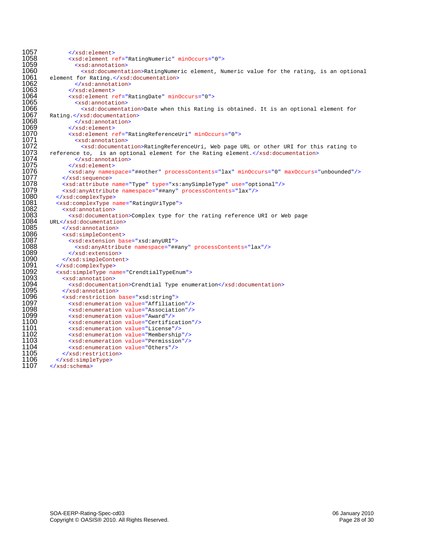```
1057 </xsd:element><br>1058 <xsd:element r
1058 <xsd:element ref="RatingNumeric" minOccurs="0">
1059 <xsd:annotation>
1060 <xsd:documentation>RatingNumeric element, Numeric value for the rating, is an optional 1061 element for Rating.</xsd:documentation>
1061 element for Rating.</xsd:documentation>
1062 </xsd:annotation><br>1063 </xsd:element>
1063 </xsd:element>
1064 <xsd:element ref="RatingDate" minOccurs="0">
1065 <xsd:annotation>
1066 \timesxsd:documentation>Date when this Rating is obtained. It is an optional element for 1067 Rating.</xsd:documentation>
1067 Rating.</xsd:documentation><br>1068 </xsd:annotation>
1068 </xsd:annotation><br>1069 </xsd:element>
1069 </xsd:element>
1070 <xsd:element ref="RatingReferenceUri" minOccurs="0">
1071 <xsd:annotation>
1072 <xsd:documentation>RatingReferenceUri, Web page URL or other URI for this rating to<br>1073    reference to, is an optional element for the Rating element.</xsd:documentation>
1073 reference to, is an optional element for the Rating element.</xsd:documentation><br>1074 </xsd:annotation>
1074 </xsd:annotation>
1075 </xsd:element>
1076 <xsd:any namespace="##other" processContents="lax" minOccurs="0" maxOccurs="unbounded"/>
1077 </xsd:sequence>
1078 <xsd:attribute name="Type" type="xs:anySimpleType" use="optional"/>
1079 <xsd:anyAttribute namespace="##any" processContents="lax"/>
1080 </xsd:complexType>
1081 <xsd:complexType name="RatingUriType">
1082 <xsd:annotation>
1083 <xsd:documentation>Complex type for the rating reference URI or Web page<br>1084 URL</xsd:documentation>
1084 URL</xsd:documentation>
1085 </xsd:annotation><br>1086 <xsd:simpleConten
1086 <xsd:simpleContent>
1087 <xsd:extension base="xsd:anyURI">
1088 <xsd:anyAttribute namespace="##any" processContents="lax"/>
1089 </xsd:extension>
1090 </xsd:simpleContent>
1091 </xsd:complexType>
1092 <xsd:simpleType name="CrendtialTypeEnum">
1093 <xsd:annotation>
1094 <xsd:documentation>Crendtial Type enumeration</xsd:documentation><br>1095 </xsd:annotation>
1095 </xsd:annotation>
-xsd:restriction base="xsd:string"> 1096<br>1097 - xsd:enumeration value="Affiliati
1097 <xsd:enumeration value="Affiliation"/>
1098 <xsd:enumeration value="Association"/>
1099 <xsd:enumeration value="Award"/>
1100 <xsd:enumeration value="Certification"/><br>1101 <xsd:enumeration value="License"/>
1101 <xsd:enumeration value="License"/>
1102 <xsd:enumeration value="Membership"/><br>1103 <xsd:enumeration value="Permission"/>
1103 <xsd:enumeration value="Permission"/><br>1104 <xsd:enumeration value="Others"/>
1104 <xsd:enumeration value="Others"/>
1105 </xsd:restriction><br>1106 </xsd:simpleType>
1106 </xsd:simpleType><br>1107 </xsd:schema>
         \langle xsd:schema \rangle
```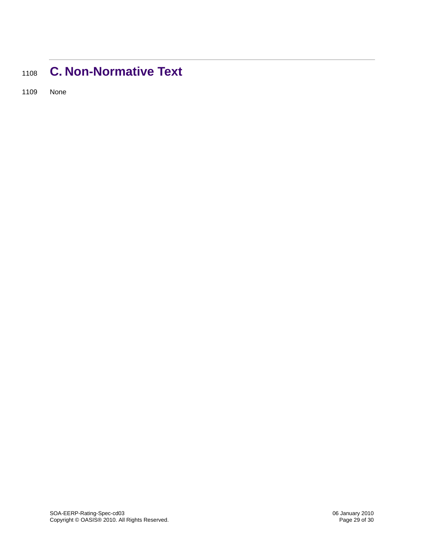## <span id="page-28-0"></span><sup>1108</sup>**C. Non-Normative Text**

1109 None